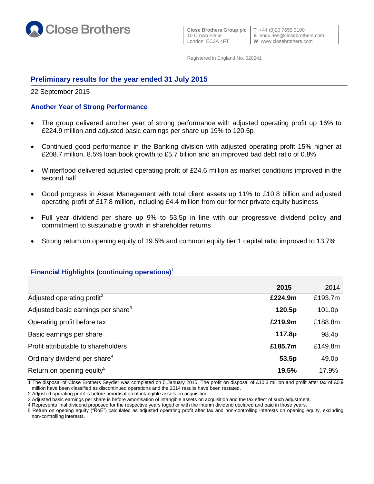

 **Close Brothers Group plc T** +44 (0)20 7655 3100 London EC2A 4FT **W** www.closebrothers.com

10 Crown Place **E** enquiries@closebrothers.com

Registered in England No. 520241

## **Preliminary results for the year ended 31 July 2015**

22 September 2015

## **Another Year of Strong Performance**

- The group delivered another year of strong performance with adjusted operating profit up 16% to £224.9 million and adjusted basic earnings per share up 19% to 120.5p
- Continued good performance in the Banking division with adjusted operating profit 15% higher at £208.7 million, 8.5% loan book growth to £5.7 billion and an improved bad debt ratio of 0.8%
- Winterflood delivered adjusted operating profit of £24.6 million as market conditions improved in the second half
- Good progress in Asset Management with total client assets up 11% to £10.8 billion and adjusted operating profit of £17.8 million, including £4.4 million from our former private equity business
- Full year dividend per share up 9% to 53.5p in line with our progressive dividend policy and commitment to sustainable growth in shareholder returns
- Strong return on opening equity of 19.5% and common equity tier 1 capital ratio improved to 13.7%

## **Financial Highlights (continuing operations)<sup>1</sup>**

|                                                | 2015    | 2014    |
|------------------------------------------------|---------|---------|
| Adjusted operating profit <sup>2</sup>         | £224.9m | £193.7m |
| Adjusted basic earnings per share <sup>3</sup> | 120.5p  | 101.0p  |
| Operating profit before tax                    | £219.9m | £188.8m |
| Basic earnings per share                       | 117.8p  | 98.4p   |
| Profit attributable to shareholders            | £185.7m | £149.8m |
| Ordinary dividend per share <sup>4</sup>       | 53.5p   | 49.0p   |
| Return on opening equity <sup>5</sup>          | 19.5%   | 17.9%   |

1 The disposal of Close Brothers Seydler was completed on 5 January 2015. The profit on disposal of £10.3 million and profit after tax of £0.9 million have been classified as discontinued operations and the 2014 results have been restated.

2 Adjusted operating profit is before amortisation of intangible assets on acquisition.

3 Adjusted basic earnings per share is before amortisation of intangible assets on acquisition and the tax effect of such adjustment.

4 Represents final dividend proposed for the respective years together with the interim dividend declared and paid in those years.

5 Return on opening equity ("RoE") calculated as adjusted operating profit after tax and non-controlling interests on opening equity, excluding non-controlling interests.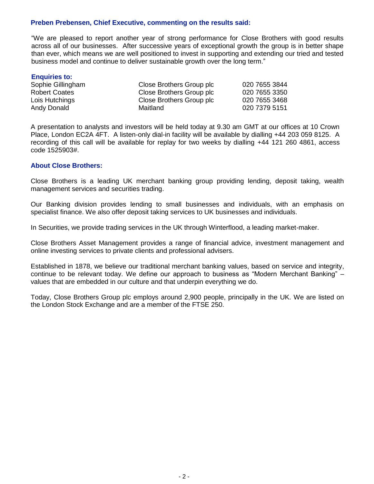## **Preben Prebensen, Chief Executive, commenting on the results said:**

"We are pleased to report another year of strong performance for Close Brothers with good results across all of our businesses. After successive years of exceptional growth the group is in better shape than ever, which means we are well positioned to invest in supporting and extending our tried and tested business model and continue to deliver sustainable growth over the long term."

| <b>Enquiries to:</b> |                          |               |
|----------------------|--------------------------|---------------|
| Sophie Gillingham    | Close Brothers Group plc | 020 7655 3844 |
| <b>Robert Coates</b> | Close Brothers Group plc | 020 7655 3350 |
| Lois Hutchings       | Close Brothers Group plc | 020 7655 3468 |
| <b>Andy Donald</b>   | Maitland                 | 020 7379 5151 |

A presentation to analysts and investors will be held today at 9.30 am GMT at our offices at 10 Crown Place, London EC2A 4FT. A listen-only dial-in facility will be available by dialling +44 203 059 8125. A recording of this call will be available for replay for two weeks by dialling +44 121 260 4861, access code 1525903#.

#### **About Close Brothers:**

Close Brothers is a leading UK merchant banking group providing lending, deposit taking, wealth management services and securities trading.

Our Banking division provides lending to small businesses and individuals, with an emphasis on specialist finance. We also offer deposit taking services to UK businesses and individuals.

In Securities, we provide trading services in the UK through Winterflood, a leading market-maker.

Close Brothers Asset Management provides a range of financial advice, investment management and online investing services to private clients and professional advisers.

Established in 1878, we believe our traditional merchant banking values, based on service and integrity, continue to be relevant today. We define our approach to business as "Modern Merchant Banking" – values that are embedded in our culture and that underpin everything we do.

Today, Close Brothers Group plc employs around 2,900 people, principally in the UK. We are listed on the London Stock Exchange and are a member of the FTSE 250.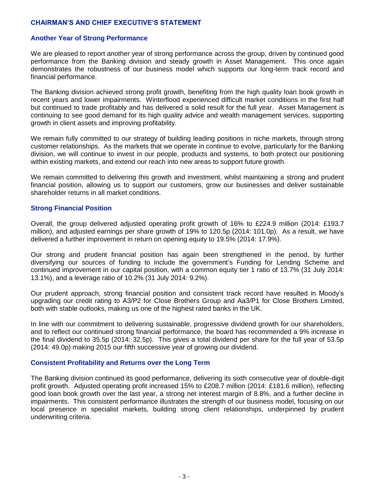## **CHAIRMAN'S AND CHIEF EXECUTIVE'S STATEMENT**

#### **Another Year of Strong Performance**

We are pleased to report another year of strong performance across the group, driven by continued good performance from the Banking division and steady growth in Asset Management. This once again demonstrates the robustness of our business model which supports our long-term track record and financial performance.

The Banking division achieved strong profit growth, benefiting from the high quality loan book growth in recent years and lower impairments. Winterflood experienced difficult market conditions in the first half but continued to trade profitably and has delivered a solid result for the full year. Asset Management is continuing to see good demand for its high quality advice and wealth management services, supporting growth in client assets and improving profitability.

We remain fully committed to our strategy of building leading positions in niche markets, through strong customer relationships. As the markets that we operate in continue to evolve, particularly for the Banking division, we will continue to invest in our people, products and systems, to both protect our positioning within existing markets, and extend our reach into new areas to support future growth.

We remain committed to delivering this growth and investment, whilst maintaining a strong and prudent financial position, allowing us to support our customers, grow our businesses and deliver sustainable shareholder returns in all market conditions.

#### **Strong Financial Position**

Overall, the group delivered adjusted operating profit growth of 16% to £224.9 million (2014: £193.7 million), and adjusted earnings per share growth of 19% to 120.5p (2014: 101.0p). As a result, we have delivered a further improvement in return on opening equity to 19.5% (2014: 17.9%).

Our strong and prudent financial position has again been strengthened in the period, by further diversifying our sources of funding to include the government's Funding for Lending Scheme and continued improvement in our capital position, with a common equity tier 1 ratio of 13.7% (31 July 2014: 13.1%), and a leverage ratio of 10.2% (31 July 2014: 9.2%).

Our prudent approach, strong financial position and consistent track record have resulted in Moody's upgrading our credit rating to A3/P2 for Close Brothers Group and Aa3/P1 for Close Brothers Limited, both with stable outlooks, making us one of the highest rated banks in the UK.

In line with our commitment to delivering sustainable, progressive dividend growth for our shareholders, and to reflect our continued strong financial performance, the board has recommended a 9% increase in the final dividend to 35.5p (2014: 32.5p). This gives a total dividend per share for the full year of 53.5p (2014: 49.0p) making 2015 our fifth successive year of growing our dividend.

#### **Consistent Profitability and Returns over the Long Term**

The Banking division continued its good performance, delivering its sixth consecutive year of double-digit profit growth. Adjusted operating profit increased 15% to £208.7 million (2014: £181.6 million), reflecting good loan book growth over the last year, a strong net interest margin of 8.8%, and a further decline in impairments. This consistent performance illustrates the strength of our business model, focusing on our local presence in specialist markets, building strong client relationships, underpinned by prudent underwriting criteria.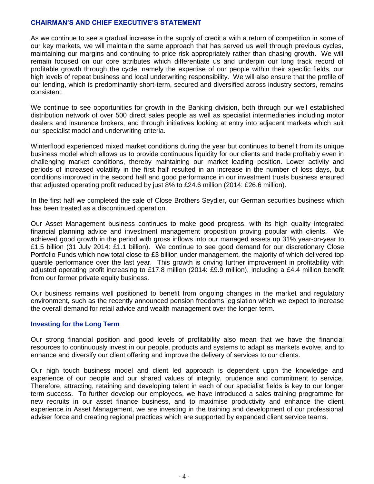## **CHAIRMAN'S AND CHIEF EXECUTIVE'S STATEMENT**

As we continue to see a gradual increase in the supply of credit a with a return of competition in some of our key markets, we will maintain the same approach that has served us well through previous cycles, maintaining our margins and continuing to price risk appropriately rather than chasing growth. We will remain focused on our core attributes which differentiate us and underpin our long track record of profitable growth through the cycle, namely the expertise of our people within their specific fields, our high levels of repeat business and local underwriting responsibility. We will also ensure that the profile of our lending, which is predominantly short-term, secured and diversified across industry sectors, remains consistent.

We continue to see opportunities for growth in the Banking division, both through our well established distribution network of over 500 direct sales people as well as specialist intermediaries including motor dealers and insurance brokers, and through initiatives looking at entry into adjacent markets which suit our specialist model and underwriting criteria.

Winterflood experienced mixed market conditions during the year but continues to benefit from its unique business model which allows us to provide continuous liquidity for our clients and trade profitably even in challenging market conditions, thereby maintaining our market leading position. Lower activity and periods of increased volatility in the first half resulted in an increase in the number of loss days, but conditions improved in the second half and good performance in our investment trusts business ensured that adjusted operating profit reduced by just 8% to £24.6 million (2014: £26.6 million).

In the first half we completed the sale of Close Brothers Seydler, our German securities business which has been treated as a discontinued operation.

Our Asset Management business continues to make good progress, with its high quality integrated financial planning advice and investment management proposition proving popular with clients. We achieved good growth in the period with gross inflows into our managed assets up 31% year-on-year to £1.5 billion (31 July 2014: £1.1 billion). We continue to see good demand for our discretionary Close Portfolio Funds which now total close to £3 billion under management, the majority of which delivered top quartile performance over the last year. This growth is driving further improvement in profitability with adjusted operating profit increasing to £17.8 million (2014: £9.9 million), including a £4.4 million benefit from our former private equity business.

Our business remains well positioned to benefit from ongoing changes in the market and regulatory environment, such as the recently announced pension freedoms legislation which we expect to increase the overall demand for retail advice and wealth management over the longer term.

#### **Investing for the Long Term**

Our strong financial position and good levels of profitability also mean that we have the financial resources to continuously invest in our people, products and systems to adapt as markets evolve, and to enhance and diversify our client offering and improve the delivery of services to our clients.

Our high touch business model and client led approach is dependent upon the knowledge and experience of our people and our shared values of integrity, prudence and commitment to service. Therefore, attracting, retaining and developing talent in each of our specialist fields is key to our longer term success. To further develop our employees, we have introduced a sales training programme for new recruits in our asset finance business, and to maximise productivity and enhance the client experience in Asset Management, we are investing in the training and development of our professional adviser force and creating regional practices which are supported by expanded client service teams.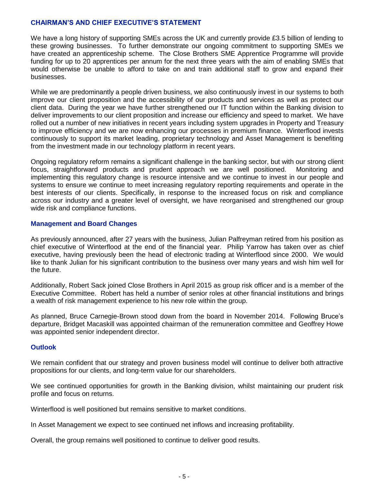## **CHAIRMAN'S AND CHIEF EXECUTIVE'S STATEMENT**

We have a long history of supporting SMEs across the UK and currently provide £3.5 billion of lending to these growing businesses. To further demonstrate our ongoing commitment to supporting SMEs we have created an apprenticeship scheme. The Close Brothers SME Apprentice Programme will provide funding for up to 20 apprentices per annum for the next three years with the aim of enabling SMEs that would otherwise be unable to afford to take on and train additional staff to grow and expand their businesses.

While we are predominantly a people driven business, we also continuously invest in our systems to both improve our client proposition and the accessibility of our products and services as well as protect our client data. During the year we have further strengthened our IT function within the Banking division to deliver improvements to our client proposition and increase our efficiency and speed to market. We have rolled out a number of new initiatives in recent years including system upgrades in Property and Treasury to improve efficiency and we are now enhancing our processes in premium finance. Winterflood invests continuously to support its market leading, proprietary technology and Asset Management is benefiting from the investment made in our technology platform in recent years.

Ongoing regulatory reform remains a significant challenge in the banking sector, but with our strong client focus, straightforward products and prudent approach we are well positioned. Monitoring and implementing this regulatory change is resource intensive and we continue to invest in our people and systems to ensure we continue to meet increasing regulatory reporting requirements and operate in the best interests of our clients. Specifically, in response to the increased focus on risk and compliance across our industry and a greater level of oversight, we have reorganised and strengthened our group wide risk and compliance functions.

## **Management and Board Changes**

As previously announced, after 27 years with the business, Julian Palfreyman retired from his position as chief executive of Winterflood at the end of the financial year. Philip Yarrow has taken over as chief executive, having previously been the head of electronic trading at Winterflood since 2000. We would like to thank Julian for his significant contribution to the business over many years and wish him well for the future.

Additionally, Robert Sack joined Close Brothers in April 2015 as group risk officer and is a member of the Executive Committee. Robert has held a number of senior roles at other financial institutions and brings a wealth of risk management experience to his new role within the group.

As planned, Bruce Carnegie-Brown stood down from the board in November 2014. Following Bruce's departure, Bridget Macaskill was appointed chairman of the remuneration committee and Geoffrey Howe was appointed senior independent director.

#### **Outlook**

We remain confident that our strategy and proven business model will continue to deliver both attractive propositions for our clients, and long-term value for our shareholders.

We see continued opportunities for growth in the Banking division, whilst maintaining our prudent risk profile and focus on returns.

Winterflood is well positioned but remains sensitive to market conditions.

In Asset Management we expect to see continued net inflows and increasing profitability.

Overall, the group remains well positioned to continue to deliver good results.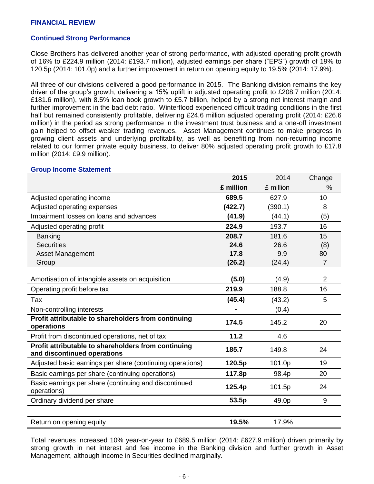#### **FINANCIAL REVIEW**

#### **Continued Strong Performance**

Close Brothers has delivered another year of strong performance, with adjusted operating profit growth of 16% to £224.9 million (2014: £193.7 million), adjusted earnings per share ("EPS") growth of 19% to 120.5p (2014: 101.0p) and a further improvement in return on opening equity to 19.5% (2014: 17.9%).

All three of our divisions delivered a good performance in 2015. The Banking division remains the key driver of the group's growth, delivering a 15% uplift in adjusted operating profit to £208.7 million (2014: £181.6 million), with 8.5% loan book growth to £5.7 billion, helped by a strong net interest margin and further improvement in the bad debt ratio. Winterflood experienced difficult trading conditions in the first half but remained consistently profitable, delivering £24.6 million adjusted operating profit (2014: £26.6 million) in the period as strong performance in the investment trust business and a one-off investment gain helped to offset weaker trading revenues. Asset Management continues to make progress in growing client assets and underlying profitability, as well as benefitting from non-recurring income related to our former private equity business, to deliver 80% adjusted operating profit growth to £17.8 million (2014: £9.9 million).

#### **Group Income Statement**

|                                                                                    | 2015      | 2014      | Change         |
|------------------------------------------------------------------------------------|-----------|-----------|----------------|
|                                                                                    | £ million | £ million | %              |
| Adjusted operating income                                                          | 689.5     | 627.9     | 10             |
| Adjusted operating expenses                                                        | (422.7)   | (390.1)   | 8              |
| Impairment losses on loans and advances                                            | (41.9)    | (44.1)    | (5)            |
| Adjusted operating profit                                                          | 224.9     | 193.7     | 16             |
| <b>Banking</b>                                                                     | 208.7     | 181.6     | 15             |
| <b>Securities</b>                                                                  | 24.6      | 26.6      | (8)            |
| Asset Management                                                                   | 17.8      | 9.9       | 80             |
| Group                                                                              | (26.2)    | (24.4)    | $\overline{7}$ |
| Amortisation of intangible assets on acquisition                                   | (5.0)     | (4.9)     | $\overline{2}$ |
| Operating profit before tax                                                        | 219.9     | 188.8     | 16             |
| Tax                                                                                | (45.4)    | (43.2)    | 5              |
| Non-controlling interests                                                          |           | (0.4)     |                |
| Profit attributable to shareholders from continuing<br>operations                  | 174.5     | 145.2     | 20             |
| Profit from discontinued operations, net of tax                                    | 11.2      | 4.6       |                |
| Profit attributable to shareholders from continuing<br>and discontinued operations | 185.7     | 149.8     | 24             |
| Adjusted basic earnings per share (continuing operations)                          | 120.5p    | 101.0p    | 19             |
| Basic earnings per share (continuing operations)                                   | 117.8p    | 98.4p     | 20             |
| Basic earnings per share (continuing and discontinued<br>operations)               | 125.4p    | 101.5p    | 24             |
| Ordinary dividend per share                                                        | 53.5p     | 49.0p     | 9              |
|                                                                                    |           |           |                |
| Return on opening equity                                                           | 19.5%     | 17.9%     |                |

Total revenues increased 10% year-on-year to £689.5 million (2014: £627.9 million) driven primarily by strong growth in net interest and fee income in the Banking division and further growth in Asset Management, although income in Securities declined marginally.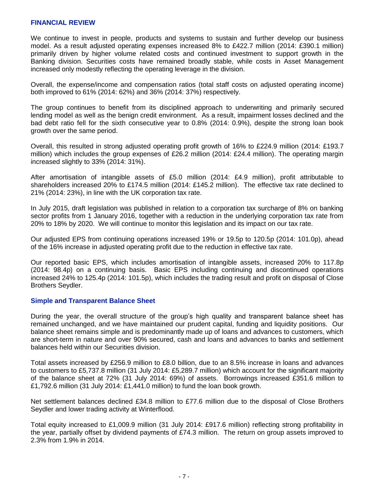#### **FINANCIAL REVIEW**

We continue to invest in people, products and systems to sustain and further develop our business model. As a result adjusted operating expenses increased 8% to £422.7 million (2014: £390.1 million) primarily driven by higher volume related costs and continued investment to support growth in the Banking division. Securities costs have remained broadly stable, while costs in Asset Management increased only modestly reflecting the operating leverage in the division.

Overall, the expense/income and compensation ratios (total staff costs on adjusted operating income) both improved to 61% (2014: 62%) and 36% (2014: 37%) respectively.

The group continues to benefit from its disciplined approach to underwriting and primarily secured lending model as well as the benign credit environment. As a result, impairment losses declined and the bad debt ratio fell for the sixth consecutive year to 0.8% (2014: 0.9%), despite the strong loan book growth over the same period.

Overall, this resulted in strong adjusted operating profit growth of 16% to £224.9 million (2014: £193.7 million) which includes the group expenses of £26.2 million (2014: £24.4 million). The operating margin increased slightly to 33% (2014: 31%).

After amortisation of intangible assets of £5.0 million (2014: £4.9 million), profit attributable to shareholders increased 20% to £174.5 million (2014: £145.2 million). The effective tax rate declined to 21% (2014: 23%), in line with the UK corporation tax rate.

In July 2015, draft legislation was published in relation to a corporation tax surcharge of 8% on banking sector profits from 1 January 2016, together with a reduction in the underlying corporation tax rate from 20% to 18% by 2020. We will continue to monitor this legislation and its impact on our tax rate.

Our adjusted EPS from continuing operations increased 19% or 19.5p to 120.5p (2014: 101.0p), ahead of the 16% increase in adjusted operating profit due to the reduction in effective tax rate.

Our reported basic EPS, which includes amortisation of intangible assets, increased 20% to 117.8p (2014: 98.4p) on a continuing basis. Basic EPS including continuing and discontinued operations increased 24% to 125.4p (2014: 101.5p), which includes the trading result and profit on disposal of Close Brothers Seydler.

#### **Simple and Transparent Balance Sheet**

During the year, the overall structure of the group's high quality and transparent balance sheet has remained unchanged, and we have maintained our prudent capital, funding and liquidity positions. Our balance sheet remains simple and is predominantly made up of loans and advances to customers, which are short-term in nature and over 90% secured, cash and loans and advances to banks and settlement balances held within our Securities division.

Total assets increased by £256.9 million to £8.0 billion, due to an 8.5% increase in loans and advances to customers to £5,737.8 million (31 July 2014: £5,289.7 million) which account for the significant majority of the balance sheet at 72% (31 July 2014: 69%) of assets. Borrowings increased £351.6 million to £1,792.6 million (31 July 2014: £1,441.0 million) to fund the loan book growth.

Net settlement balances declined £34.8 million to £77.6 million due to the disposal of Close Brothers Seydler and lower trading activity at Winterflood.

Total equity increased to £1,009.9 million (31 July 2014: £917.6 million) reflecting strong profitability in the year, partially offset by dividend payments of £74.3 million. The return on group assets improved to 2.3% from 1.9% in 2014.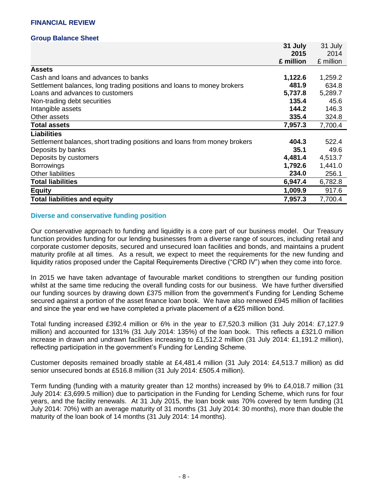#### **Group Balance Sheet**

|                                                                           | 31 July   | 31 July   |
|---------------------------------------------------------------------------|-----------|-----------|
|                                                                           | 2015      | 2014      |
|                                                                           | £ million | £ million |
| <b>Assets</b>                                                             |           |           |
| Cash and loans and advances to banks                                      | 1,122.6   | 1,259.2   |
| Settlement balances, long trading positions and loans to money brokers    | 481.9     | 634.8     |
| Loans and advances to customers                                           | 5,737.8   | 5,289.7   |
| Non-trading debt securities                                               | 135.4     | 45.6      |
| Intangible assets                                                         | 144.2     | 146.3     |
| Other assets                                                              | 335.4     | 324.8     |
| <b>Total assets</b>                                                       | 7,957.3   | 7,700.4   |
| <b>Liabilities</b>                                                        |           |           |
| Settlement balances, short trading positions and loans from money brokers | 404.3     | 522.4     |
| Deposits by banks                                                         | 35.1      | 49.6      |
| Deposits by customers                                                     | 4,481.4   | 4,513.7   |
| <b>Borrowings</b>                                                         | 1,792.6   | 1,441.0   |
| <b>Other liabilities</b>                                                  | 234.0     | 256.1     |
| <b>Total liabilities</b>                                                  | 6,947.4   | 6,782.8   |
| <b>Equity</b>                                                             | 1,009.9   | 917.6     |
| <b>Total liabilities and equity</b>                                       | 7,957.3   | 7,700.4   |

#### **Diverse and conservative funding position**

Our conservative approach to funding and liquidity is a core part of our business model. Our Treasury function provides funding for our lending businesses from a diverse range of sources, including retail and corporate customer deposits, secured and unsecured loan facilities and bonds, and maintains a prudent maturity profile at all times. As a result, we expect to meet the requirements for the new funding and liquidity ratios proposed under the Capital Requirements Directive ("CRD IV") when they come into force.

In 2015 we have taken advantage of favourable market conditions to strengthen our funding position whilst at the same time reducing the overall funding costs for our business. We have further diversified our funding sources by drawing down £375 million from the government's Funding for Lending Scheme secured against a portion of the asset finance loan book. We have also renewed £945 million of facilities and since the year end we have completed a private placement of a  $\epsilon$ 25 million bond.

Total funding increased £392.4 million or 6% in the year to £7,520.3 million (31 July 2014: £7,127.9 million) and accounted for 131% (31 July 2014: 135%) of the loan book. This reflects a £321.0 million increase in drawn and undrawn facilities increasing to £1,512.2 million (31 July 2014: £1,191.2 million), reflecting participation in the government's Funding for Lending Scheme.

Customer deposits remained broadly stable at £4,481.4 million (31 July 2014: £4,513.7 million) as did senior unsecured bonds at £516.8 million (31 July 2014: £505.4 million).

Term funding (funding with a maturity greater than 12 months) increased by 9% to £4,018.7 million (31 July 2014: £3,699.5 million) due to participation in the Funding for Lending Scheme, which runs for four years, and the facility renewals. At 31 July 2015, the loan book was 70% covered by term funding (31 July 2014: 70%) with an average maturity of 31 months (31 July 2014: 30 months), more than double the maturity of the loan book of 14 months (31 July 2014: 14 months).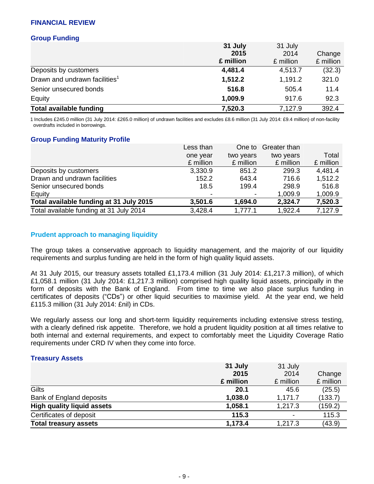## **FINANCIAL REVIEW**

### **Group Funding**

|                                           | 31 July   | 31 July   |           |
|-------------------------------------------|-----------|-----------|-----------|
|                                           | 2015      | 2014      | Change    |
|                                           | £ million | £ million | £ million |
| Deposits by customers                     | 4,481.4   | 4,513.7   | (32.3)    |
| Drawn and undrawn facilities <sup>1</sup> | 1,512.2   | 1,191.2   | 321.0     |
| Senior unsecured bonds                    | 516.8     | 505.4     | 11.4      |
| Equity                                    | 1,009.9   | 917.6     | 92.3      |
| <b>Total available funding</b>            | 7,520.3   | 7,127.9   | 392.4     |

1 Includes £245.0 million (31 July 2014: £265.0 million) of undrawn facilities and excludes £8.6 million (31 July 2014: £9.4 million) of non-facility overdrafts included in borrowings.

#### **Group Funding Maturity Profile**

| Less than                | One to    | Greater than |           |
|--------------------------|-----------|--------------|-----------|
| one year                 | two years | two years    | Total     |
| £ million                | £ million | £ million    | £ million |
| 3,330.9                  | 851.2     | 299.3        | 4,481.4   |
| 152.2                    | 643.4     | 716.6        | 1,512.2   |
| 18.5                     | 199.4     | 298.9        | 516.8     |
| $\overline{\phantom{a}}$ |           | 1,009.9      | 1,009.9   |
| 3,501.6                  | 1,694.0   | 2,324.7      | 7,520.3   |
| 3,428.4                  | 1,777.1   | 1,922.4      | 7,127.9   |
|                          |           |              |           |

## **Prudent approach to managing liquidity**

The group takes a conservative approach to liquidity management, and the majority of our liquidity requirements and surplus funding are held in the form of high quality liquid assets.

At 31 July 2015, our treasury assets totalled £1,173.4 million (31 July 2014: £1,217.3 million), of which £1,058.1 million (31 July 2014: £1,217.3 million) comprised high quality liquid assets, principally in the form of deposits with the Bank of England. From time to time we also place surplus funding in certificates of deposits ("CDs") or other liquid securities to maximise yield. At the year end, we held £115.3 million (31 July 2014: £nil) in CDs.

We regularly assess our long and short-term liquidity requirements including extensive stress testing, with a clearly defined risk appetite. Therefore, we hold a prudent liquidity position at all times relative to both internal and external requirements, and expect to comfortably meet the Liquidity Coverage Ratio requirements under CRD IV when they come into force.

#### **Treasury Assets**

|                                   | 31 July   | 31 July   |           |
|-----------------------------------|-----------|-----------|-----------|
|                                   | 2015      | 2014      | Change    |
|                                   | £ million | £ million | £ million |
| Gilts                             | 20.1      | 45.6      | (25.5)    |
| Bank of England deposits          | 1,038.0   | 1,171.7   | (133.7)   |
| <b>High quality liquid assets</b> | 1,058.1   | 1,217.3   | (159.2)   |
| Certificates of deposit           | 115.3     |           | 115.3     |
| <b>Total treasury assets</b>      | 1,173.4   | 1,217.3   | (43.9)    |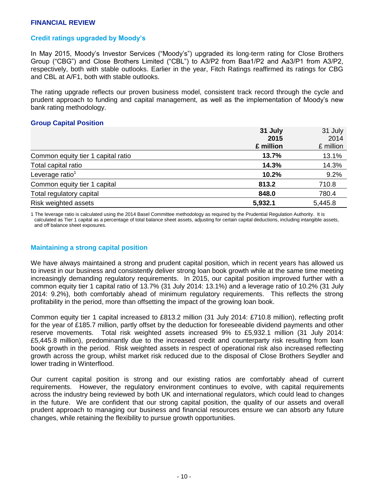#### **Credit ratings upgraded by Moody's**

In May 2015, Moody's Investor Services ("Moody's") upgraded its long-term rating for Close Brothers Group ("CBG") and Close Brothers Limited ("CBL") to A3/P2 from Baa1/P2 and Aa3/P1 from A3/P2, respectively, both with stable outlooks. Earlier in the year, Fitch Ratings reaffirmed its ratings for CBG and CBL at A/F1, both with stable outlooks.

The rating upgrade reflects our proven business model, consistent track record through the cycle and prudent approach to funding and capital management, as well as the implementation of Moody's new bank rating methodology.

#### **Group Capital Position**

|                                    | 31 July   | 31 July   |
|------------------------------------|-----------|-----------|
|                                    | 2015      | 2014      |
|                                    | £ million | £ million |
| Common equity tier 1 capital ratio | 13.7%     | 13.1%     |
| Total capital ratio                | 14.3%     | 14.3%     |
| Leverage ratio <sup>1</sup>        | 10.2%     | 9.2%      |
| Common equity tier 1 capital       | 813.2     | 710.8     |
| Total regulatory capital           | 848.0     | 780.4     |
| Risk weighted assets               | 5,932.1   | 5,445.8   |

1 The leverage ratio is calculated using the 2014 Basel Committee methodology as required by the Prudential Regulation Authority. It is calculated as Tier 1 capital as a percentage of total balance sheet assets, adjusting for certain capital deductions, including intangible assets, and off balance sheet exposures.

## **Maintaining a strong capital position**

We have always maintained a strong and prudent capital position, which in recent years has allowed us to invest in our business and consistently deliver strong loan book growth while at the same time meeting increasingly demanding regulatory requirements. In 2015, our capital position improved further with a common equity tier 1 capital ratio of 13.7% (31 July 2014: 13.1%) and a leverage ratio of 10.2% (31 July 2014: 9.2%), both comfortably ahead of minimum regulatory requirements. This reflects the strong profitability in the period, more than offsetting the impact of the growing loan book.

Common equity tier 1 capital increased to £813.2 million (31 July 2014: £710.8 million), reflecting profit for the year of £185.7 million, partly offset by the deduction for foreseeable dividend payments and other reserve movements. Total risk weighted assets increased 9% to £5,932.1 million (31 July 2014: £5,445.8 million), predominantly due to the increased credit and counterparty risk resulting from loan book growth in the period. Risk weighted assets in respect of operational risk also increased reflecting growth across the group, whilst market risk reduced due to the disposal of Close Brothers Seydler and lower trading in Winterflood.

Our current capital position is strong and our existing ratios are comfortably ahead of current requirements. However, the regulatory environment continues to evolve, with capital requirements across the industry being reviewed by both UK and international regulators, which could lead to changes in the future. We are confident that our strong capital position, the quality of our assets and overall prudent approach to managing our business and financial resources ensure we can absorb any future changes, while retaining the flexibility to pursue growth opportunities.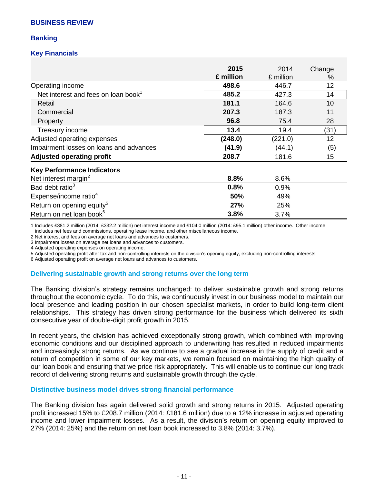## **Banking**

## **Key Financials**

|                                                 | 2015<br>£ million | 2014<br>£ million | Change<br>% |
|-------------------------------------------------|-------------------|-------------------|-------------|
| Operating income                                | 498.6             | 446.7             | 12          |
| Net interest and fees on loan book <sup>1</sup> | 485.2             | 427.3             | 14          |
| Retail                                          | 181.1             | 164.6             | 10          |
| Commercial                                      | 207.3             | 187.3             | 11          |
| Property                                        | 96.8              | 75.4              | 28          |
| Treasury income                                 | 13.4              | 19.4              | (31)        |
| Adjusted operating expenses                     | (248.0)           | (221.0)           | 12          |
| Impairment losses on loans and advances         | (41.9)            | (44.1)            | (5)         |
| <b>Adjusted operating profit</b>                | 208.7             | 181.6             | 15          |
| <b>Key Performance Indicators</b>               |                   |                   |             |
| Net interest margin <sup>2</sup>                | 8.8%              | 8.6%              |             |
| Bad debt ratio <sup>3</sup>                     | 0.8%              | 0.9%              |             |
| Expense/income ratio <sup>4</sup>               | 50%               | 49%               |             |
| Return on opening equity <sup>5</sup>           | 27%               | 25%               |             |
| Return on net loan book <sup>6</sup>            | 3.8%              | 3.7%              |             |

1 Includes £381.2 million (2014: £332.2 million) net interest income and £104.0 million (2014: £95.1 million) other income. Other income includes net fees and commissions, operating lease income, and other miscellaneous income.

2 Net interest and fees on average net loans and advances to customers.

3 Impairment losses on average net loans and advances to customers.

4 Adjusted operating expenses on operating income.

5 Adjusted operating profit after tax and non-controlling interests on the division's opening equity, excluding non-controlling interests.

6 Adjusted operating profit on average net loans and advances to customers.

#### **Delivering sustainable growth and strong returns over the long term**

The Banking division's strategy remains unchanged: to deliver sustainable growth and strong returns throughout the economic cycle. To do this, we continuously invest in our business model to maintain our local presence and leading position in our chosen specialist markets, in order to build long-term client relationships. This strategy has driven strong performance for the business which delivered its sixth consecutive year of double-digit profit growth in 2015.

In recent years, the division has achieved exceptionally strong growth, which combined with improving economic conditions and our disciplined approach to underwriting has resulted in reduced impairments and increasingly strong returns. As we continue to see a gradual increase in the supply of credit and a return of competition in some of our key markets, we remain focused on maintaining the high quality of our loan book and ensuring that we price risk appropriately. This will enable us to continue our long track record of delivering strong returns and sustainable growth through the cycle.

#### **Distinctive business model drives strong financial performance**

The Banking division has again delivered solid growth and strong returns in 2015. Adjusted operating profit increased 15% to £208.7 million (2014: £181.6 million) due to a 12% increase in adjusted operating income and lower impairment losses. As a result, the division's return on opening equity improved to 27% (2014: 25%) and the return on net loan book increased to 3.8% (2014: 3.7%).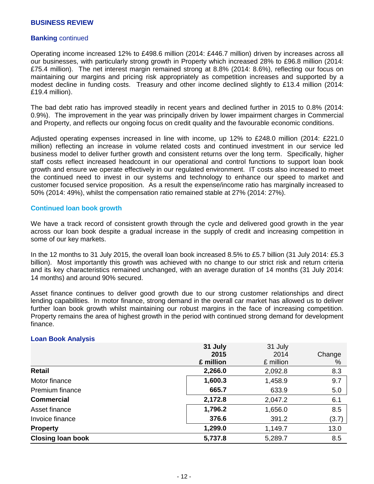#### **Banking** continued

Operating income increased 12% to £498.6 million (2014: £446.7 million) driven by increases across all our businesses, with particularly strong growth in Property which increased 28% to £96.8 million (2014: £75.4 million). The net interest margin remained strong at 8.8% (2014: 8.6%), reflecting our focus on maintaining our margins and pricing risk appropriately as competition increases and supported by a modest decline in funding costs. Treasury and other income declined slightly to £13.4 million (2014: £19.4 million).

The bad debt ratio has improved steadily in recent years and declined further in 2015 to 0.8% (2014: 0.9%). The improvement in the year was principally driven by lower impairment charges in Commercial and Property, and reflects our ongoing focus on credit quality and the favourable economic conditions.

Adjusted operating expenses increased in line with income, up 12% to £248.0 million (2014: £221.0 million) reflecting an increase in volume related costs and continued investment in our service led business model to deliver further growth and consistent returns over the long term. Specifically, higher staff costs reflect increased headcount in our operational and control functions to support loan book growth and ensure we operate effectively in our regulated environment. IT costs also increased to meet the continued need to invest in our systems and technology to enhance our speed to market and customer focused service proposition. As a result the expense/income ratio has marginally increased to 50% (2014: 49%), whilst the compensation ratio remained stable at 27% (2014: 27%).

#### **Continued loan book growth**

We have a track record of consistent growth through the cycle and delivered good growth in the year across our loan book despite a gradual increase in the supply of credit and increasing competition in some of our key markets.

In the 12 months to 31 July 2015, the overall loan book increased 8.5% to £5.7 billion (31 July 2014: £5.3 billion). Most importantly this growth was achieved with no change to our strict risk and return criteria and its key characteristics remained unchanged, with an average duration of 14 months (31 July 2014: 14 months) and around 90% secured.

Asset finance continues to deliver good growth due to our strong customer relationships and direct lending capabilities. In motor finance, strong demand in the overall car market has allowed us to deliver further loan book growth whilst maintaining our robust margins in the face of increasing competition. Property remains the area of highest growth in the period with continued strong demand for development finance.

#### **Loan Book Analysis**

|                          | 31 July   | 31 July   |        |
|--------------------------|-----------|-----------|--------|
|                          | 2015      | 2014      | Change |
|                          | £ million | £ million | %      |
| Retail                   | 2,266.0   | 2,092.8   | 8.3    |
| Motor finance            | 1,600.3   | 1,458.9   | 9.7    |
| Premium finance          | 665.7     | 633.9     | 5.0    |
| <b>Commercial</b>        | 2,172.8   | 2,047.2   | 6.1    |
| Asset finance            | 1,796.2   | 1,656.0   | 8.5    |
| Invoice finance          | 376.6     | 391.2     | (3.7)  |
| <b>Property</b>          | 1,299.0   | 1,149.7   | 13.0   |
| <b>Closing loan book</b> | 5,737.8   | 5,289.7   | 8.5    |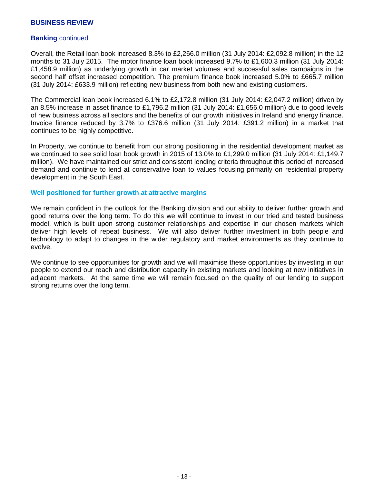#### **Banking** continued

Overall, the Retail loan book increased 8.3% to £2,266.0 million (31 July 2014: £2,092.8 million) in the 12 months to 31 July 2015. The motor finance loan book increased 9.7% to £1,600.3 million (31 July 2014: £1,458.9 million) as underlying growth in car market volumes and successful sales campaigns in the second half offset increased competition. The premium finance book increased 5.0% to £665.7 million (31 July 2014: £633.9 million) reflecting new business from both new and existing customers.

The Commercial loan book increased 6.1% to £2,172.8 million (31 July 2014: £2,047.2 million) driven by an 8.5% increase in asset finance to £1,796.2 million (31 July 2014: £1,656.0 million) due to good levels of new business across all sectors and the benefits of our growth initiatives in Ireland and energy finance. Invoice finance reduced by 3.7% to £376.6 million (31 July 2014: £391.2 million) in a market that continues to be highly competitive.

In Property, we continue to benefit from our strong positioning in the residential development market as we continued to see solid loan book growth in 2015 of 13.0% to £1,299.0 million (31 July 2014: £1,149.7 million). We have maintained our strict and consistent lending criteria throughout this period of increased demand and continue to lend at conservative loan to values focusing primarily on residential property development in the South East.

#### **Well positioned for further growth at attractive margins**

We remain confident in the outlook for the Banking division and our ability to deliver further growth and good returns over the long term. To do this we will continue to invest in our tried and tested business model, which is built upon strong customer relationships and expertise in our chosen markets which deliver high levels of repeat business. We will also deliver further investment in both people and technology to adapt to changes in the wider regulatory and market environments as they continue to evolve.

We continue to see opportunities for growth and we will maximise these opportunities by investing in our people to extend our reach and distribution capacity in existing markets and looking at new initiatives in adjacent markets. At the same time we will remain focused on the quality of our lending to support strong returns over the long term.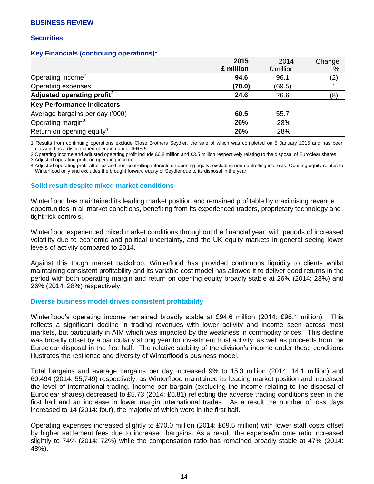#### **Securities**

## **Key Financials (continuing operations)<sup>1</sup>**

|                                        | 2015      | 2014      | Change |
|----------------------------------------|-----------|-----------|--------|
|                                        | £ million | £ million | %      |
| Operating income <sup>2</sup>          | 94.6      | 96.1      | (2)    |
| Operating expenses                     | (70.0)    | (69.5)    |        |
| Adjusted operating profit <sup>2</sup> | 24.6      | 26.6      | (8)    |
| <b>Key Performance Indicators</b>      |           |           |        |
| Average bargains per day ('000)        | 60.5      | 55.7      |        |
| Operating margin <sup>3</sup>          | 26%       | 28%       |        |
| Return on opening equity <sup>4</sup>  | 26%       | 28%       |        |

1 Results from continuing operations exclude Close Brothers Seydler, the sale of which was completed on 5 January 2015 and has been classified as a discontinued operation under IFRS 5.

2 Operating income and adjusted operating profit include £6.8 million and £3.5 million respectively relating to the disposal of Euroclear shares.

3 Adjusted operating profit on operating income.

4 Adjusted operating profit after tax and non-controlling interests on opening equity, excluding non-controlling interests. Opening equity relates to Winterflood only and excludes the brought forward equity of Seydler due to its disposal in the year.

#### **Solid result despite mixed market conditions**

Winterflood has maintained its leading market position and remained profitable by maximising revenue opportunities in all market conditions, benefiting from its experienced traders, proprietary technology and tight risk controls.

Winterflood experienced mixed market conditions throughout the financial year, with periods of increased volatility due to economic and political uncertainty, and the UK equity markets in general seeing lower levels of activity compared to 2014.

Against this tough market backdrop, Winterflood has provided continuous liquidity to clients whilst maintaining consistent profitability and its variable cost model has allowed it to deliver good returns in the period with both operating margin and return on opening equity broadly stable at 26% (2014: 28%) and 26% (2014: 28%) respectively.

#### **Diverse business model drives consistent profitability**

Winterflood's operating income remained broadly stable at £94.6 million (2014: £96.1 million). This reflects a significant decline in trading revenues with lower activity and income seen across most markets, but particularly in AIM which was impacted by the weakness in commodity prices. This decline was broadly offset by a particularly strong year for investment trust activity, as well as proceeds from the Euroclear disposal in the first half. The relative stability of the division's income under these conditions illustrates the resilience and diversity of Winterflood's business model.

Total bargains and average bargains per day increased 9% to 15.3 million (2014: 14.1 million) and 60,494 (2014: 55,749) respectively, as Winterflood maintained its leading market position and increased the level of international trading. Income per bargain (excluding the income relating to the disposal of Euroclear shares) decreased to £5.73 (2014: £6.81) reflecting the adverse trading conditions seen in the first half and an increase in lower margin international trades. As a result the number of loss days increased to 14 (2014: four), the majority of which were in the first half.

Operating expenses increased slightly to £70.0 million (2014: £69.5 million) with lower staff costs offset by higher settlement fees due to increased bargains. As a result, the expense/income ratio increased slightly to 74% (2014: 72%) while the compensation ratio has remained broadly stable at 47% (2014: 48%).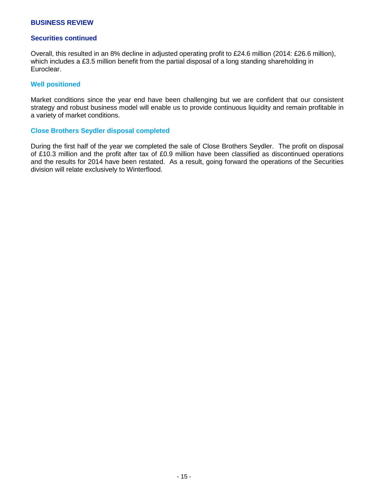#### **Securities continued**

Overall, this resulted in an 8% decline in adjusted operating profit to £24.6 million (2014: £26.6 million), which includes a £3.5 million benefit from the partial disposal of a long standing shareholding in Euroclear.

#### **Well positioned**

Market conditions since the year end have been challenging but we are confident that our consistent strategy and robust business model will enable us to provide continuous liquidity and remain profitable in a variety of market conditions.

#### **Close Brothers Seydler disposal completed**

During the first half of the year we completed the sale of Close Brothers Seydler. The profit on disposal of £10.3 million and the profit after tax of £0.9 million have been classified as discontinued operations and the results for 2014 have been restated. As a result, going forward the operations of the Securities division will relate exclusively to Winterflood.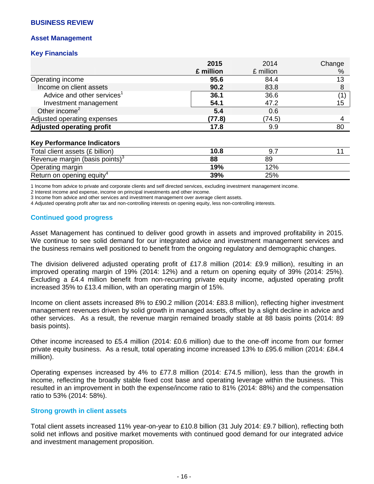#### **Asset Management**

### **Key Financials**

|                                        | 2015      | 2014      | Change |
|----------------------------------------|-----------|-----------|--------|
|                                        | £ million | £ million | %      |
| Operating income                       | 95.6      | 84.4      | 13     |
| Income on client assets                | 90.2      | 83.8      |        |
| Advice and other services <sup>1</sup> | 36.1      | 36.6      |        |
| Investment management                  | 54.1      | 47.2      | 15     |
| Other income $2$                       | 5.4       | 0.6       |        |
| Adjusted operating expenses            | (77.8)    | (74.5)    |        |
| <b>Adjusted operating profit</b>       | 17.8      | 9.9       | 80     |

#### **Key Performance Indicators**

| Total client assets (£ billion)       | 10.8 | 9.7 |  |
|---------------------------------------|------|-----|--|
| Revenue margin (basis points) $3$     | 88   | 89  |  |
| Operating margin                      | 19%  | 12% |  |
| Return on opening equity <sup>4</sup> | 39%  | 25% |  |

1 Income from advice to private and corporate clients and self directed services, excluding investment management income.

2 Interest income and expense, income on principal investments and other income.

3 Income from advice and other services and investment management over average client assets.

4 Adjusted operating profit after tax and non-controlling interests on opening equity, less non-controlling interests.

## **Continued good progress**

Asset Management has continued to deliver good growth in assets and improved profitability in 2015. We continue to see solid demand for our integrated advice and investment management services and the business remains well positioned to benefit from the ongoing regulatory and demographic changes.

The division delivered adjusted operating profit of £17.8 million (2014: £9.9 million), resulting in an improved operating margin of 19% (2014: 12%) and a return on opening equity of 39% (2014: 25%). Excluding a £4.4 million benefit from non-recurring private equity income, adjusted operating profit increased 35% to £13.4 million, with an operating margin of 15%.

Income on client assets increased 8% to £90.2 million (2014: £83.8 million), reflecting higher investment management revenues driven by solid growth in managed assets, offset by a slight decline in advice and other services. As a result, the revenue margin remained broadly stable at 88 basis points (2014: 89 basis points).

Other income increased to £5.4 million (2014: £0.6 million) due to the one-off income from our former private equity business. As a result, total operating income increased 13% to £95.6 million (2014: £84.4 million).

Operating expenses increased by 4% to £77.8 million (2014: £74.5 million), less than the growth in income, reflecting the broadly stable fixed cost base and operating leverage within the business. This resulted in an improvement in both the expense/income ratio to 81% (2014: 88%) and the compensation ratio to 53% (2014: 58%).

#### **Strong growth in client assets**

Total client assets increased 11% year-on-year to £10.8 billion (31 July 2014: £9.7 billion), reflecting both solid net inflows and positive market movements with continued good demand for our integrated advice and investment management proposition.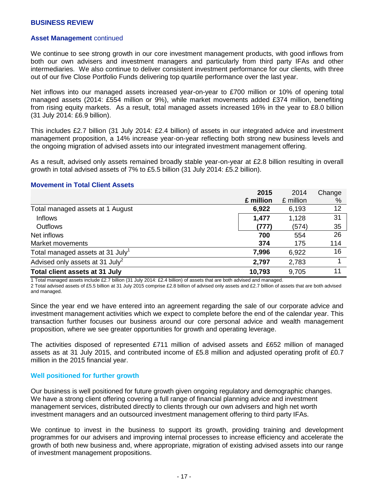#### **Asset Management** continued

We continue to see strong growth in our core investment management products, with good inflows from both our own advisers and investment managers and particularly from third party IFAs and other intermediaries. We also continue to deliver consistent investment performance for our clients, with three out of our five Close Portfolio Funds delivering top quartile performance over the last year.

Net inflows into our managed assets increased year-on-year to £700 million or 10% of opening total managed assets (2014: £554 million or 9%), while market movements added £374 million, benefiting from rising equity markets. As a result, total managed assets increased 16% in the year to £8.0 billion (31 July 2014: £6.9 billion).

This includes £2.7 billion (31 July 2014: £2.4 billion) of assets in our integrated advice and investment management proposition, a 14% increase year-on-year reflecting both strong new business levels and the ongoing migration of advised assets into our integrated investment management offering.

As a result, advised only assets remained broadly stable year-on-year at £2.8 billion resulting in overall growth in total advised assets of 7% to £5.5 billion (31 July 2014: £5.2 billion).

|                                              | 2015      | 2014      | Change |
|----------------------------------------------|-----------|-----------|--------|
|                                              | £ million | £ million | %      |
| Total managed assets at 1 August             | 6,922     | 6,193     | 12     |
| <b>Inflows</b>                               | 1,477     | 1,128     | 31     |
| <b>Outflows</b>                              | (777)     | (574)     | 35     |
| Net inflows                                  | 700       | 554       | 26     |
| Market movements                             | 374       | 175       | 114    |
| Total managed assets at 31 July <sup>1</sup> | 7,996     | 6,922     | 16     |
| Advised only assets at 31 July <sup>2</sup>  | 2,797     | 2,783     |        |
| Total client assets at 31 July               | 10,793    | 9,705     | 11     |

#### **Movement in Total Client Assets**

1 Total managed assets include £2.7 billion (31 July 2014: £2.4 billion) of assets that are both advised and managed.

2 Total advised assets of £5.5 billion at 31 July 2015 comprise £2.8 billion of advised only assets and £2.7 billion of assets that are both advised and managed.

Since the year end we have entered into an agreement regarding the sale of our corporate advice and investment management activities which we expect to complete before the end of the calendar year. This transaction further focuses our business around our core personal advice and wealth management proposition, where we see greater opportunities for growth and operating leverage.

The activities disposed of represented £711 million of advised assets and £652 million of managed assets as at 31 July 2015, and contributed income of £5.8 million and adjusted operating profit of £0.7 million in the 2015 financial year.

#### **Well positioned for further growth**

Our business is well positioned for future growth given ongoing regulatory and demographic changes. We have a strong client offering covering a full range of financial planning advice and investment management services, distributed directly to clients through our own advisers and high net worth investment managers and an outsourced investment management offering to third party IFAs.

We continue to invest in the business to support its growth, providing training and development programmes for our advisers and improving internal processes to increase efficiency and accelerate the growth of both new business and, where appropriate, migration of existing advised assets into our range of investment management propositions.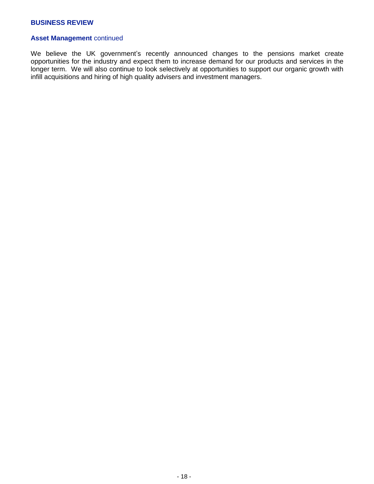## **Asset Management** continued

We believe the UK government's recently announced changes to the pensions market create opportunities for the industry and expect them to increase demand for our products and services in the longer term. We will also continue to look selectively at opportunities to support our organic growth with infill acquisitions and hiring of high quality advisers and investment managers.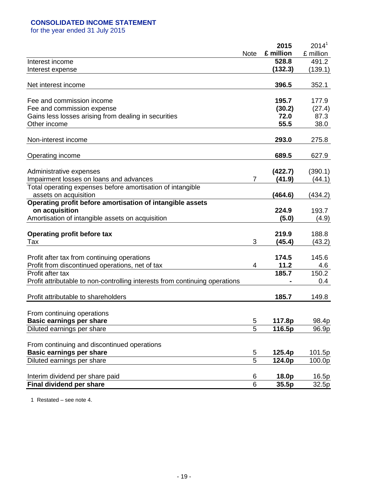## **CONSOLIDATED INCOME STATEMENT**

for the year ended 31 July 2015

|                                                                             |                | 2015      | 2014 <sup>1</sup> |
|-----------------------------------------------------------------------------|----------------|-----------|-------------------|
|                                                                             | <b>Note</b>    | £ million | £ million         |
| Interest income                                                             |                | 528.8     | 491.2             |
| Interest expense                                                            |                | (132.3)   | (139.1)           |
| Net interest income                                                         |                | 396.5     | 352.1             |
|                                                                             |                |           |                   |
| Fee and commission income                                                   |                | 195.7     | 177.9             |
| Fee and commission expense                                                  |                | (30.2)    | (27.4)            |
| Gains less losses arising from dealing in securities                        |                | 72.0      | 87.3              |
| Other income                                                                |                | 55.5      | 38.0              |
| Non-interest income                                                         |                | 293.0     | 275.8             |
| Operating income                                                            |                | 689.5     | 627.9             |
|                                                                             |                |           |                   |
| Administrative expenses                                                     |                | (422.7)   | (390.1)           |
| Impairment losses on loans and advances                                     | $\overline{7}$ | (41.9)    | (44.1)            |
| Total operating expenses before amortisation of intangible                  |                |           |                   |
| assets on acquisition                                                       |                | (464.6)   | (434.2)           |
| Operating profit before amortisation of intangible assets                   |                |           |                   |
| on acquisition                                                              |                | 224.9     | 193.7             |
| Amortisation of intangible assets on acquisition                            |                | (5.0)     | (4.9)             |
| <b>Operating profit before tax</b>                                          |                | 219.9     | 188.8             |
| Tax                                                                         | 3              | (45.4)    | (43.2)            |
|                                                                             |                |           |                   |
| Profit after tax from continuing operations                                 |                | 174.5     | 145.6             |
| Profit from discontinued operations, net of tax                             | 4              | 11.2      | 4.6               |
| Profit after tax                                                            |                | 185.7     | 150.2             |
| Profit attributable to non-controlling interests from continuing operations |                |           | 0.4               |
|                                                                             |                |           |                   |
| Profit attributable to shareholders                                         |                | 185.7     | 149.8             |
| From continuing operations                                                  |                |           |                   |
| <b>Basic earnings per share</b>                                             | 5              | 117.8p    | 98.4p             |
| Diluted earnings per share                                                  | $\overline{5}$ | 116.5p    | 96.9p             |
|                                                                             |                |           |                   |
| From continuing and discontinued operations                                 |                |           |                   |
| <b>Basic earnings per share</b>                                             | 5              | 125.4p    | 101.5p            |
| Diluted earnings per share                                                  | $\overline{5}$ | 124.0p    | 100.0p            |
|                                                                             |                |           |                   |
| Interim dividend per share paid                                             | 6              | 18.0p     | 16.5p             |
| Final dividend per share                                                    | 6              | 35.5p     | 32.5p             |

1 Restated – see note 4.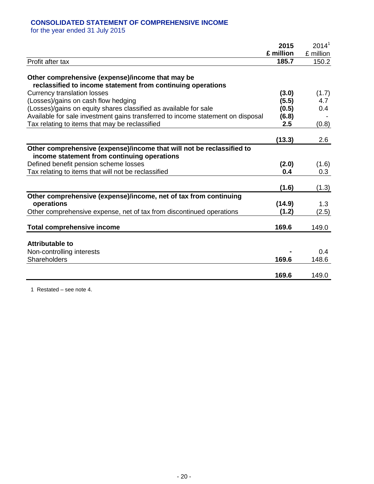## **CONSOLIDATED STATEMENT OF COMPREHENSIVE INCOME**

for the year ended 31 July 2015

|                                                                                                                      | 2015      | 2014 <sup>1</sup> |
|----------------------------------------------------------------------------------------------------------------------|-----------|-------------------|
|                                                                                                                      | £ million | £ million         |
| Profit after tax                                                                                                     | 185.7     | 150.2             |
| Other comprehensive (expense)/income that may be<br>reclassified to income statement from continuing operations      |           |                   |
| <b>Currency translation losses</b>                                                                                   | (3.0)     | (1.7)             |
| (Losses)/gains on cash flow hedging                                                                                  | (5.5)     | 4.7               |
| (Losses)/gains on equity shares classified as available for sale                                                     | (0.5)     | 0.4               |
| Available for sale investment gains transferred to income statement on disposal                                      | (6.8)     |                   |
| Tax relating to items that may be reclassified                                                                       | 2.5       | (0.8)             |
|                                                                                                                      | (13.3)    | 2.6               |
| Other comprehensive (expense)/income that will not be reclassified to<br>income statement from continuing operations |           |                   |
| Defined benefit pension scheme losses                                                                                | (2.0)     | (1.6)             |
| Tax relating to items that will not be reclassified                                                                  | 0.4       | 0.3               |
|                                                                                                                      | (1.6)     | (1.3)             |
| Other comprehensive (expense)/income, net of tax from continuing                                                     |           |                   |
| operations                                                                                                           | (14.9)    | 1.3               |
| Other comprehensive expense, net of tax from discontinued operations                                                 | (1.2)     | (2.5)             |
| <b>Total comprehensive income</b>                                                                                    | 169.6     | 149.0             |
| <b>Attributable to</b>                                                                                               |           |                   |
| Non-controlling interests                                                                                            |           | 0.4               |
| Shareholders                                                                                                         | 169.6     | 148.6             |
|                                                                                                                      |           |                   |
|                                                                                                                      | 169.6     | 149.0             |

1 Restated – see note 4.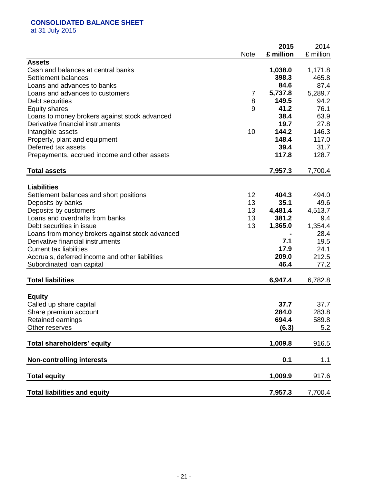# **CONSOLIDATED BALANCE SHEET**

at 31 July 2015

|                                                 | <b>Note</b> | 2015<br>£ million | 2014<br>£ million |
|-------------------------------------------------|-------------|-------------------|-------------------|
| <b>Assets</b>                                   |             |                   |                   |
| Cash and balances at central banks              |             | 1,038.0           | 1,171.8           |
| Settlement balances                             |             | 398.3             | 465.8             |
| Loans and advances to banks                     |             | 84.6              | 87.4              |
| Loans and advances to customers                 | 7           | 5,737.8           | 5,289.7           |
| Debt securities                                 | 8           | 149.5             | 94.2              |
| <b>Equity shares</b>                            | 9           | 41.2              | 76.1              |
| Loans to money brokers against stock advanced   |             | 38.4              | 63.9              |
| Derivative financial instruments                |             | 19.7              | 27.8              |
| Intangible assets                               | 10          | 144.2             | 146.3             |
| Property, plant and equipment                   |             | 148.4             | 117.0             |
| Deferred tax assets                             |             | 39.4              | 31.7              |
| Prepayments, accrued income and other assets    |             | 117.8             | 128.7             |
| <b>Total assets</b>                             |             | 7,957.3           | 7,700.4           |
|                                                 |             |                   |                   |
| <b>Liabilities</b>                              |             |                   |                   |
| Settlement balances and short positions         | 12          | 404.3             | 494.0             |
| Deposits by banks                               | 13          | 35.1              | 49.6              |
| Deposits by customers                           | 13          | 4,481.4           | 4,513.7           |
| Loans and overdrafts from banks                 | 13          | 381.2             | 9.4               |
| Debt securities in issue                        | 13          | 1,365.0           | 1,354.4           |
| Loans from money brokers against stock advanced |             |                   | 28.4              |
| Derivative financial instruments                |             | 7.1               | 19.5              |
| <b>Current tax liabilities</b>                  |             | 17.9              | 24.1              |
| Accruals, deferred income and other liabilities |             | 209.0             | 212.5             |
| Subordinated loan capital                       |             | 46.4              | 77.2              |
| <b>Total liabilities</b>                        |             | 6,947.4           | 6,782.8           |
|                                                 |             |                   |                   |
| <b>Equity</b>                                   |             |                   |                   |
| Called up share capital                         |             | 37.7              | 37.7              |
| Share premium account                           |             | 284.0             | 283.8             |
| Retained earnings                               |             | 694.4             | 589.8             |
| Other reserves                                  |             | (6.3)             | 5.2               |
| Total shareholders' equity                      |             | 1,009.8           | 916.5             |
| <b>Non-controlling interests</b>                |             | 0.1               | 1.1               |
| <b>Total equity</b>                             |             | 1,009.9           | 917.6             |
| <b>Total liabilities and equity</b>             |             | 7,957.3           | 7,700.4           |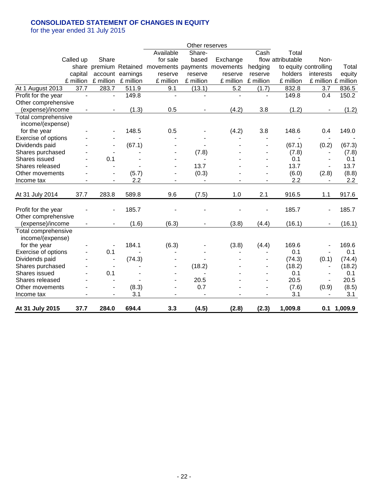## **CONSOLIDATED STATEMENT OF CHANGES IN EQUITY**

for the year ended 31 July 2015

|                     |                          |                          |                          |                    | Other reserves           |           |              |                   |                          |               |
|---------------------|--------------------------|--------------------------|--------------------------|--------------------|--------------------------|-----------|--------------|-------------------|--------------------------|---------------|
|                     |                          |                          |                          | Available          | Share-                   |           | Cash         | Total             |                          |               |
|                     | Called up                | Share                    |                          | for sale           | based                    | Exchange  |              | flow attributable | Non-                     |               |
|                     |                          | share premium Retained   |                          | movements payments |                          | movements | hedging      |                   | to equity controlling    | Total         |
|                     | capital                  | account                  | earnings                 | reserve            | reserve                  | reserve   | reserve      | holders           | interests                | equity        |
|                     | £ million                | £ million                | £ million                | £ million          | £ million                | £ million | £ million    | £ million         | £ million £ million      |               |
| At 1 August 2013    | 37.7                     | 283.7                    | 511.9                    | 9.1                | (13.1)                   | 5.2       | (1.7)        | 832.8             | 3.7                      | 836.5         |
| Profit for the year | $\overline{\phantom{a}}$ | $\overline{\phantom{a}}$ | 149.8                    | L.                 | $\blacksquare$           |           | $\mathbf{r}$ | 149.8             | 0.4                      | 150.2         |
| Other comprehensive |                          |                          |                          |                    |                          |           |              |                   |                          |               |
| (expense)/income    |                          | $\overline{\phantom{a}}$ | (1.3)                    | 0.5                | $\overline{\phantom{a}}$ | (4.2)     | 3.8          | (1.2)             | $\overline{a}$           | (1.2)         |
| Total comprehensive |                          |                          |                          |                    |                          |           |              |                   |                          |               |
| income/(expense)    |                          |                          |                          |                    |                          |           |              |                   |                          |               |
| for the year        |                          |                          | 148.5                    | 0.5                |                          | (4.2)     | 3.8          | 148.6             | 0.4                      | 149.0         |
| Exercise of options |                          |                          |                          |                    |                          |           |              |                   |                          |               |
| Dividends paid      |                          |                          | (67.1)                   |                    |                          |           |              | (67.1)            | (0.2)                    | (67.3)        |
| Shares purchased    |                          |                          |                          |                    | (7.8)                    |           |              | (7.8)             | $\overline{\phantom{a}}$ | (7.8)         |
| Shares issued       |                          | 0.1                      |                          |                    |                          |           |              | 0.1               |                          | 0.1           |
| Shares released     |                          |                          |                          | ٠                  | 13.7                     |           |              | 13.7              |                          | 13.7          |
| Other movements     |                          |                          | (5.7)                    | ä,                 | (0.3)                    |           | ä,           | (6.0)             | (2.8)                    | (8.8)         |
| Income tax          |                          |                          | 2.2                      |                    |                          |           |              | 2.2               |                          | 2.2           |
| At 31 July 2014     | 37.7                     | 283.8                    | 589.8                    | 9.6                | (7.5)                    | 1.0       | 2.1          | 916.5             | 1.1                      | 917.6         |
|                     |                          |                          |                          |                    |                          |           |              |                   |                          |               |
| Profit for the year |                          |                          | 185.7                    |                    |                          |           |              | 185.7             | $\overline{\phantom{a}}$ | 185.7         |
| Other comprehensive |                          |                          |                          |                    |                          |           |              |                   |                          |               |
| (expense)/income    |                          |                          | (1.6)                    | (6.3)              |                          | (3.8)     | (4.4)        | (16.1)            |                          | (16.1)        |
| Total comprehensive |                          |                          |                          |                    |                          |           |              |                   |                          |               |
| income/(expense)    |                          |                          |                          |                    |                          |           |              |                   |                          |               |
| for the year        |                          |                          | 184.1                    | (6.3)              |                          | (3.8)     | (4.4)        | 169.6             |                          | 169.6         |
| Exercise of options |                          | 0.1                      | $\overline{\phantom{a}}$ |                    |                          |           |              | 0.1               | $\overline{\phantom{a}}$ | 0.1           |
| Dividends paid      |                          |                          | (74.3)                   |                    |                          |           |              | (74.3)            | (0.1)                    | (74.4)        |
| Shares purchased    |                          |                          |                          |                    | (18.2)                   |           |              | (18.2)            | $\overline{\phantom{a}}$ | (18.2)        |
| Shares issued       |                          | 0.1                      |                          |                    |                          |           |              | 0.1               | $\overline{\phantom{a}}$ | 0.1           |
| Shares released     |                          |                          |                          |                    | 20.5                     |           |              | 20.5              | $\overline{\phantom{a}}$ | 20.5          |
| Other movements     |                          | $\overline{\phantom{a}}$ | (8.3)                    |                    | 0.7                      |           |              | (7.6)             | (0.9)                    | (8.5)         |
| Income tax          |                          |                          | 3.1                      |                    |                          |           |              | 3.1               |                          | 3.1           |
| At 31 July 2015     | 37.7                     | 284.0                    | 694.4                    | 3.3                | (4.5)                    | (2.8)     | (2.3)        | 1,009.8           |                          | $0.1$ 1,009.9 |
|                     |                          |                          |                          |                    |                          |           |              |                   |                          |               |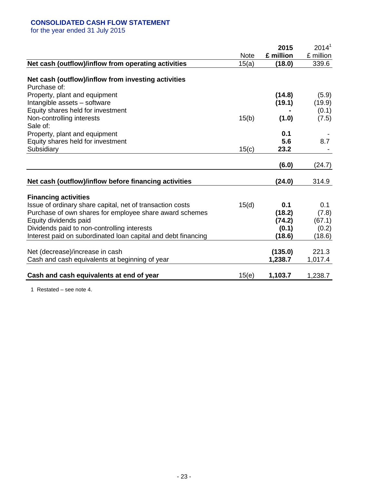## **CONSOLIDATED CASH FLOW STATEMENT**

for the year ended 31 July 2015

|                                                                     |             | 2015      | $2014^1$  |
|---------------------------------------------------------------------|-------------|-----------|-----------|
|                                                                     | <b>Note</b> | £ million | £ million |
| Net cash (outflow)/inflow from operating activities                 | 15(a)       | (18.0)    | 339.6     |
| Net cash (outflow)/inflow from investing activities<br>Purchase of: |             |           |           |
| Property, plant and equipment                                       |             | (14.8)    | (5.9)     |
| Intangible assets - software                                        |             | (19.1)    | (19.9)    |
| Equity shares held for investment                                   |             |           | (0.1)     |
| Non-controlling interests                                           | 15(b)       | (1.0)     | (7.5)     |
| Sale of:                                                            |             |           |           |
| Property, plant and equipment                                       |             | 0.1       |           |
| Equity shares held for investment                                   |             | 5.6       | 8.7       |
| Subsidiary                                                          | 15(c)       | 23.2      |           |
|                                                                     |             |           |           |
|                                                                     |             | (6.0)     | (24.7)    |
| Net cash (outflow)/inflow before financing activities               |             | (24.0)    | 314.9     |
| <b>Financing activities</b>                                         |             |           |           |
| Issue of ordinary share capital, net of transaction costs           | 15(d)       | 0.1       | 0.1       |
| Purchase of own shares for employee share award schemes             |             | (18.2)    | (7.8)     |
| Equity dividends paid                                               |             | (74.2)    | (67.1)    |
| Dividends paid to non-controlling interests                         |             | (0.1)     | (0.2)     |
| Interest paid on subordinated loan capital and debt financing       |             | (18.6)    | (18.6)    |
|                                                                     |             |           |           |
| Net (decrease)/increase in cash                                     |             | (135.0)   | 221.3     |
| Cash and cash equivalents at beginning of year                      |             | 1,238.7   | 1,017.4   |
| Cash and cash equivalents at end of year                            | 15(e)       | 1,103.7   | 1,238.7   |

1 Restated – see note 4.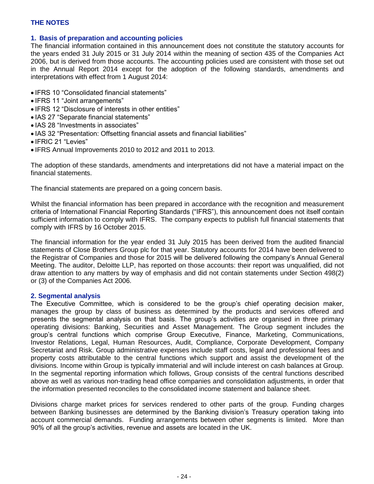### **1. Basis of preparation and accounting policies**

The financial information contained in this announcement does not constitute the statutory accounts for the years ended 31 July 2015 or 31 July 2014 within the meaning of section 435 of the Companies Act 2006, but is derived from those accounts. The accounting policies used are consistent with those set out in the Annual Report 2014 except for the adoption of the following standards, amendments and interpretations with effect from 1 August 2014:

- IFRS 10 "Consolidated financial statements"
- IFRS 11 "Joint arrangements"
- IFRS 12 "Disclosure of interests in other entities"
- IAS 27 "Separate financial statements"
- IAS 28 "Investments in associates"
- IAS 32 "Presentation: Offsetting financial assets and financial liabilities"
- IFRIC 21 "Levies"
- IFRS Annual Improvements 2010 to 2012 and 2011 to 2013.

The adoption of these standards, amendments and interpretations did not have a material impact on the financial statements.

The financial statements are prepared on a going concern basis.

Whilst the financial information has been prepared in accordance with the recognition and measurement criteria of International Financial Reporting Standards ("IFRS"), this announcement does not itself contain sufficient information to comply with IFRS. The company expects to publish full financial statements that comply with IFRS by 16 October 2015.

The financial information for the year ended 31 July 2015 has been derived from the audited financial statements of Close Brothers Group plc for that year. Statutory accounts for 2014 have been delivered to the Registrar of Companies and those for 2015 will be delivered following the company's Annual General Meeting. The auditor, Deloitte LLP, has reported on those accounts: their report was unqualified, did not draw attention to any matters by way of emphasis and did not contain statements under Section 498(2) or (3) of the Companies Act 2006.

#### **2. Segmental analysis**

The Executive Committee, which is considered to be the group's chief operating decision maker, manages the group by class of business as determined by the products and services offered and presents the segmental analysis on that basis. The group's activities are organised in three primary operating divisions: Banking, Securities and Asset Management. The Group segment includes the group's central functions which comprise Group Executive, Finance, Marketing, Communications, Investor Relations, Legal, Human Resources, Audit, Compliance, Corporate Development, Company Secretariat and Risk. Group administrative expenses include staff costs, legal and professional fees and property costs attributable to the central functions which support and assist the development of the divisions. Income within Group is typically immaterial and will include interest on cash balances at Group. In the segmental reporting information which follows, Group consists of the central functions described above as well as various non-trading head office companies and consolidation adjustments, in order that the information presented reconciles to the consolidated income statement and balance sheet.

Divisions charge market prices for services rendered to other parts of the group. Funding charges between Banking businesses are determined by the Banking division's Treasury operation taking into account commercial demands. Funding arrangements between other segments is limited. More than 90% of all the group's activities, revenue and assets are located in the UK.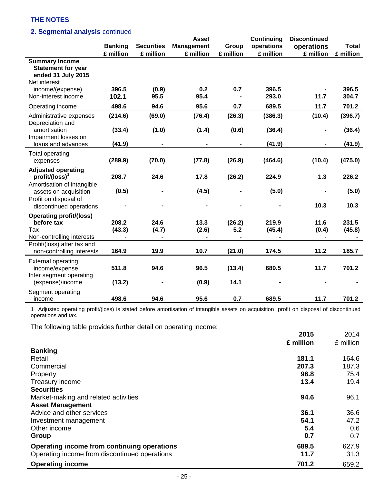## **2. Segmental analysis** continued

|                                                                                          |                 |                        | <b>Asset</b>      |                | Continuing      | <b>Discontinued</b> |                 |
|------------------------------------------------------------------------------------------|-----------------|------------------------|-------------------|----------------|-----------------|---------------------|-----------------|
|                                                                                          | <b>Banking</b>  | <b>Securities</b>      | <b>Management</b> | Group          | operations      | operations          | <b>Total</b>    |
|                                                                                          | £ million       | £ million              | £ million         | £ million      | £ million       | £ million           | £ million       |
| <b>Summary Income</b><br><b>Statement for year</b><br>ended 31 July 2015<br>Net interest |                 |                        |                   |                |                 |                     |                 |
| income/(expense)                                                                         | 396.5           | (0.9)                  | 0.2               | 0.7            | 396.5           |                     | 396.5           |
| Non-interest income                                                                      | 102.1           | 95.5                   | 95.4              |                | 293.0           | 11.7                | 304.7           |
| Operating income                                                                         | 498.6           | 94.6                   | 95.6              | 0.7            | 689.5           | 11.7                | 701.2           |
| Administrative expenses<br>Depreciation and                                              | (214.6)         | (69.0)                 | (76.4)            | (26.3)         | (386.3)         | (10.4)              | (396.7)         |
| amortisation<br>Impairment losses on                                                     | (33.4)          | (1.0)                  | (1.4)             | (0.6)          | (36.4)          |                     | (36.4)          |
| loans and advances                                                                       | (41.9)          |                        |                   |                | (41.9)          |                     | (41.9)          |
| <b>Total operating</b><br>expenses                                                       | (289.9)         | (70.0)                 | (77.8)            | (26.9)         | (464.6)         | (10.4)              | (475.0)         |
| <b>Adjusted operating</b><br>$profit/(loss)^1$<br>Amortisation of intangible             | 208.7           | 24.6                   | 17.8              | (26.2)         | 224.9           | 1.3                 | 226.2           |
| assets on acquisition<br>Profit on disposal of                                           | (0.5)           |                        | (4.5)             |                | (5.0)           |                     | (5.0)           |
| discontinued operations                                                                  |                 | $\blacksquare$         | $\blacksquare$    |                |                 | 10.3                | 10.3            |
| <b>Operating profit/(loss)</b><br>before tax<br>Tax                                      | 208.2<br>(43.3) | 24.6<br>(4.7)          | 13.3<br>(2.6)     | (26.2)<br>5.2  | 219.9<br>(45.4) | 11.6<br>(0.4)       | 231.5<br>(45.8) |
| Non-controlling interests<br>Profit/(loss) after tax and<br>non-controlling interests    | 164.9           | $\blacksquare$<br>19.9 | 10.7              | (21.0)         | 174.5           | 11.2                | 185.7           |
| <b>External operating</b><br>income/expense<br>Inter segment operating                   | 511.8<br>(13.2) | 94.6                   | 96.5              | (13.4)<br>14.1 | 689.5           | 11.7                | 701.2           |
| (expense)/income<br>Segment operating<br>income                                          | 498.6           | 94.6                   | (0.9)<br>95.6     | 0.7            | 689.5           | 11.7                | 701.2           |

1 Adjusted operating profit/(loss) is stated before amortisation of intangible assets on acquisition, profit on disposal of discontinued operations and tax.

The following table provides further detail on operating income:

|                                               | 2015      | 2014      |
|-----------------------------------------------|-----------|-----------|
|                                               | £ million | £ million |
| <b>Banking</b>                                |           |           |
| Retail                                        | 181.1     | 164.6     |
| Commercial                                    | 207.3     | 187.3     |
| Property                                      | 96.8      | 75.4      |
| Treasury income                               | 13.4      | 19.4      |
| <b>Securities</b>                             |           |           |
| Market-making and related activities          | 94.6      | 96.1      |
| <b>Asset Management</b>                       |           |           |
| Advice and other services                     | 36.1      | 36.6      |
| Investment management                         | 54.1      | 47.2      |
| Other income                                  | 5.4       | 0.6       |
| Group                                         | 0.7       | 0.7       |
| Operating income from continuing operations   | 689.5     | 627.9     |
| Operating income from discontinued operations | 11.7      | 31.3      |
| <b>Operating income</b>                       | 701.2     | 659.2     |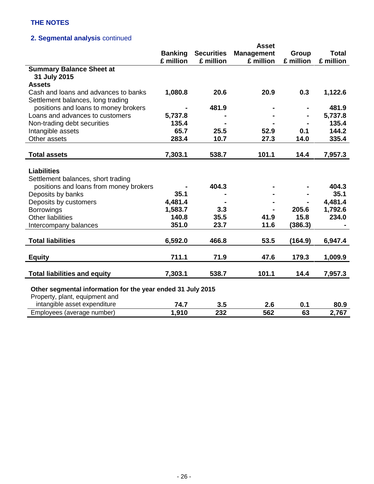# **2. Segmental analysis** continued

|                                                                |                |                   | <b>Asset</b>      |           |              |
|----------------------------------------------------------------|----------------|-------------------|-------------------|-----------|--------------|
|                                                                | <b>Banking</b> | <b>Securities</b> | <b>Management</b> | Group     | <b>Total</b> |
|                                                                | £ million      | £ million         | £ million         | £ million | £ million    |
| <b>Summary Balance Sheet at</b>                                |                |                   |                   |           |              |
| 31 July 2015                                                   |                |                   |                   |           |              |
| <b>Assets</b>                                                  |                |                   |                   |           |              |
| Cash and loans and advances to banks                           | 1,080.8        | 20.6              | 20.9              | 0.3       | 1,122.6      |
| Settlement balances, long trading                              |                |                   |                   |           |              |
| positions and loans to money brokers                           |                | 481.9             |                   |           | 481.9        |
| Loans and advances to customers                                | 5,737.8        |                   |                   |           | 5,737.8      |
| Non-trading debt securities                                    | 135.4          |                   |                   |           | 135.4        |
| Intangible assets                                              | 65.7           | 25.5              | 52.9              | 0.1       | 144.2        |
| Other assets                                                   | 283.4          | 10.7              | 27.3              | 14.0      | 335.4        |
|                                                                |                |                   |                   |           |              |
| <b>Total assets</b>                                            | 7,303.1        | 538.7             | 101.1             | 14.4      | 7,957.3      |
|                                                                |                |                   |                   |           |              |
| <b>Liabilities</b>                                             |                |                   |                   |           |              |
| Settlement balances, short trading                             |                |                   |                   |           |              |
| positions and loans from money brokers                         |                | 404.3             |                   |           | 404.3        |
| Deposits by banks                                              | 35.1           |                   |                   |           | 35.1         |
| Deposits by customers                                          | 4,481.4        |                   |                   |           | 4,481.4      |
| <b>Borrowings</b>                                              | 1,583.7        | 3.3               |                   | 205.6     | 1,792.6      |
| <b>Other liabilities</b>                                       | 140.8          | 35.5              | 41.9              | 15.8      | 234.0        |
| Intercompany balances                                          | 351.0          | 23.7              | 11.6              | (386.3)   |              |
|                                                                |                |                   |                   |           |              |
| <b>Total liabilities</b>                                       | 6,592.0        | 466.8             | 53.5              | (164.9)   | 6,947.4      |
|                                                                |                |                   |                   |           |              |
| <b>Equity</b>                                                  | 711.1          | 71.9              | 47.6              | 179.3     | 1,009.9      |
|                                                                |                |                   |                   |           |              |
| <b>Total liabilities and equity</b>                            | 7,303.1        | 538.7             | 101.1             | 14.4      | 7,957.3      |
|                                                                |                |                   |                   |           |              |
| Other segmental information for the year ended 31 July 2015    |                |                   |                   |           |              |
| Property, plant, equipment and<br>intangible asset expenditure |                |                   |                   |           |              |
|                                                                | 74.7           | 3.5               | 2.6               | 0.1       | 80.9         |
| Employees (average number)                                     | 1,910          | 232               | 562               | 63        | 2,767        |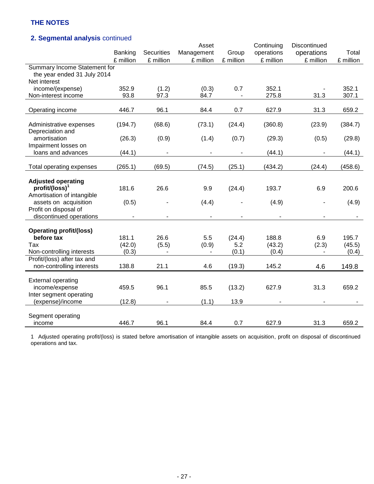# **2. Segmental analysis** continued

|                                |                          |                   | Asset      |           | Continuing | Discontinued |           |
|--------------------------------|--------------------------|-------------------|------------|-----------|------------|--------------|-----------|
|                                | <b>Banking</b>           | <b>Securities</b> | Management | Group     | operations | operations   | Total     |
|                                | £ million                | £ million         | £ million  | £ million | £ million  | £ million    | £ million |
| Summary Income Statement for   |                          |                   |            |           |            |              |           |
| the year ended 31 July 2014    |                          |                   |            |           |            |              |           |
| Net interest                   |                          |                   |            |           |            |              |           |
| income/(expense)               | 352.9                    | (1.2)             | (0.3)      | 0.7       | 352.1      |              | 352.1     |
| Non-interest income            | 93.8                     | 97.3              | 84.7       |           | 275.8      | 31.3         | 307.1     |
|                                |                          |                   |            |           |            |              |           |
| Operating income               | 446.7                    | 96.1              | 84.4       | 0.7       | 627.9      | 31.3         | 659.2     |
|                                |                          |                   |            |           |            |              |           |
| Administrative expenses        | (194.7)                  | (68.6)            | (73.1)     | (24.4)    | (360.8)    | (23.9)       | (384.7)   |
| Depreciation and               |                          |                   |            |           |            |              |           |
| amortisation                   | (26.3)                   | (0.9)             | (1.4)      | (0.7)     | (29.3)     | (0.5)        | (29.8)    |
| Impairment losses on           |                          |                   |            |           |            |              |           |
| loans and advances             | (44.1)                   |                   |            |           | (44.1)     |              | (44.1)    |
|                                |                          |                   |            |           |            |              |           |
| Total operating expenses       | (265.1)                  | (69.5)            | (74.5)     | (25.1)    | (434.2)    | (24.4)       | (458.6)   |
|                                |                          |                   |            |           |            |              |           |
| <b>Adjusted operating</b>      |                          |                   |            |           |            |              |           |
| $profit/(loss)^1$              | 181.6                    | 26.6              | 9.9        | (24.4)    | 193.7      | 6.9          | 200.6     |
| Amortisation of intangible     |                          |                   |            |           |            |              |           |
| assets on acquisition          | (0.5)                    |                   | (4.4)      |           | (4.9)      |              | (4.9)     |
| Profit on disposal of          |                          |                   |            |           |            |              |           |
| discontinued operations        | $\overline{\phantom{a}}$ |                   |            |           |            |              |           |
|                                |                          |                   |            |           |            |              |           |
| <b>Operating profit/(loss)</b> |                          |                   |            |           |            |              |           |
| before tax                     | 181.1                    | 26.6              | 5.5        | (24.4)    | 188.8      | 6.9          | 195.7     |
| Tax                            | (42.0)                   | (5.5)             | (0.9)      | 5.2       | (43.2)     | (2.3)        | (45.5)    |
| Non-controlling interests      | (0.3)                    |                   |            | (0.1)     | (0.4)      |              | (0.4)     |
| Profit/(loss) after tax and    |                          |                   |            |           |            |              |           |
| non-controlling interests      | 138.8                    | 21.1              | 4.6        | (19.3)    | 145.2      | 4.6          | 149.8     |
|                                |                          |                   |            |           |            |              |           |
| <b>External operating</b>      |                          |                   |            |           |            |              |           |
| income/expense                 | 459.5                    | 96.1              | 85.5       | (13.2)    | 627.9      | 31.3         | 659.2     |
| Inter segment operating        |                          |                   |            |           |            |              |           |
| (expense)/income               | (12.8)                   |                   | (1.1)      | 13.9      |            |              |           |
|                                |                          |                   |            |           |            |              |           |
| Segment operating              |                          |                   |            |           |            |              |           |
| income                         | 446.7                    | 96.1              | 84.4       | 0.7       | 627.9      | 31.3         | 659.2     |

1 Adjusted operating profit/(loss) is stated before amortisation of intangible assets on acquisition, profit on disposal of discontinued operations and tax.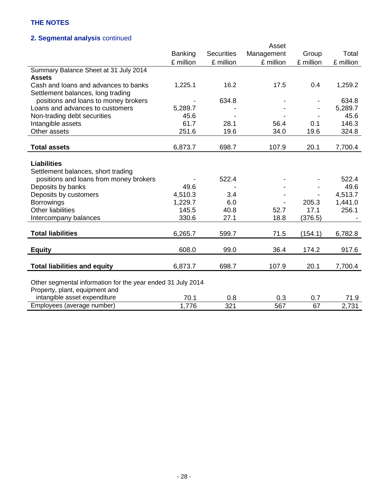# **2. Segmental analysis** continued

|                                                             |                |                   | Asset      |           |           |
|-------------------------------------------------------------|----------------|-------------------|------------|-----------|-----------|
|                                                             | <b>Banking</b> | <b>Securities</b> | Management | Group     | Total     |
|                                                             | £ million      | £ million         | £ million  | £ million | £ million |
| Summary Balance Sheet at 31 July 2014                       |                |                   |            |           |           |
| <b>Assets</b>                                               |                |                   |            |           |           |
| Cash and loans and advances to banks                        | 1,225.1        | 16.2              | 17.5       | 0.4       | 1,259.2   |
| Settlement balances, long trading                           |                |                   |            |           |           |
| positions and loans to money brokers                        |                | 634.8             |            |           | 634.8     |
| Loans and advances to customers                             | 5,289.7        |                   |            |           | 5,289.7   |
| Non-trading debt securities                                 | 45.6           |                   |            |           | 45.6      |
| Intangible assets                                           | 61.7           | 28.1              | 56.4       | 0.1       | 146.3     |
| Other assets                                                | 251.6          | 19.6              | 34.0       | 19.6      | 324.8     |
|                                                             |                |                   |            |           |           |
| <b>Total assets</b>                                         | 6,873.7        | 698.7             | 107.9      | 20.1      | 7,700.4   |
|                                                             |                |                   |            |           |           |
| <b>Liabilities</b>                                          |                |                   |            |           |           |
| Settlement balances, short trading                          |                |                   |            |           |           |
| positions and loans from money brokers                      |                | 522.4             |            |           | 522.4     |
| Deposits by banks                                           | 49.6           |                   |            |           | 49.6      |
| Deposits by customers                                       | 4,510.3        | 3.4               |            |           | 4,513.7   |
| <b>Borrowings</b>                                           | 1,229.7        | 6.0               |            | 205.3     | 1,441.0   |
| <b>Other liabilities</b>                                    | 145.5          | 40.8              | 52.7       | 17.1      | 256.1     |
| Intercompany balances                                       | 330.6          | 27.1              | 18.8       | (376.5)   |           |
|                                                             |                |                   |            |           |           |
| <b>Total liabilities</b>                                    | 6,265.7        | 599.7             | 71.5       | (154.1)   | 6,782.8   |
|                                                             |                |                   |            |           |           |
| <b>Equity</b>                                               | 608.0          | 99.0              | 36.4       | 174.2     | 917.6     |
|                                                             |                |                   |            |           |           |
| <b>Total liabilities and equity</b>                         | 6,873.7        | 698.7             | 107.9      | 20.1      | 7,700.4   |
|                                                             |                |                   |            |           |           |
| Other segmental information for the year ended 31 July 2014 |                |                   |            |           |           |
| Property, plant, equipment and                              |                |                   |            |           |           |
| intangible asset expenditure                                | 70.1           | 0.8               | 0.3        | 0.7       | 71.9      |
| Employees (average number)                                  | 1,776          | 321               | 567        | 67        | 2,731     |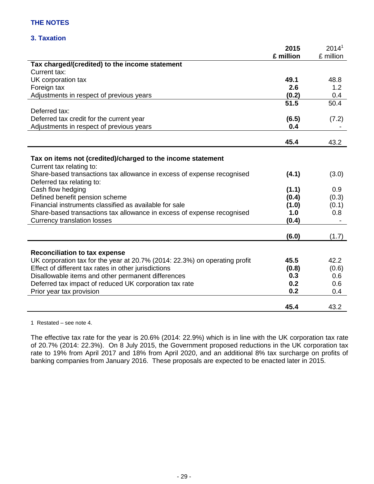## **3. Taxation**

|                                                                                         | 2015      | 2014 <sup>1</sup> |
|-----------------------------------------------------------------------------------------|-----------|-------------------|
|                                                                                         | £ million | £ million         |
| Tax charged/(credited) to the income statement                                          |           |                   |
| Current tax:                                                                            |           |                   |
| UK corporation tax                                                                      | 49.1      | 48.8              |
| Foreign tax                                                                             | 2.6       | 1.2               |
| Adjustments in respect of previous years                                                | (0.2)     | 0.4               |
|                                                                                         | 51.5      | 50.4              |
| Deferred tax:                                                                           |           |                   |
| Deferred tax credit for the current year                                                | (6.5)     | (7.2)             |
| Adjustments in respect of previous years                                                | 0.4       |                   |
|                                                                                         | 45.4      | 43.2              |
|                                                                                         |           |                   |
| Tax on items not (credited)/charged to the income statement<br>Current tax relating to: |           |                   |
| Share-based transactions tax allowance in excess of expense recognised                  | (4.1)     | (3.0)             |
| Deferred tax relating to:                                                               |           |                   |
| Cash flow hedging                                                                       | (1.1)     | 0.9               |
| Defined benefit pension scheme                                                          | (0.4)     | (0.3)             |
| Financial instruments classified as available for sale                                  | (1.0)     | (0.1)             |
| Share-based transactions tax allowance in excess of expense recognised                  | 1.0       | 0.8               |
| <b>Currency translation losses</b>                                                      | (0.4)     |                   |
|                                                                                         | (6.0)     | (1.7)             |
|                                                                                         |           |                   |
| <b>Reconciliation to tax expense</b>                                                    |           |                   |
| UK corporation tax for the year at 20.7% (2014: 22.3%) on operating profit              | 45.5      | 42.2              |
| Effect of different tax rates in other jurisdictions                                    | (0.8)     | (0.6)             |
| Disallowable items and other permanent differences                                      | 0.3       | 0.6               |
| Deferred tax impact of reduced UK corporation tax rate                                  | 0.2       | 0.6               |
| Prior year tax provision                                                                | 0.2       | 0.4               |
|                                                                                         | 45.4      | 43.2              |

1 Restated – see note 4.

The effective tax rate for the year is 20.6% (2014: 22.9%) which is in line with the UK corporation tax rate of 20.7% (2014: 22.3%). On 8 July 2015, the Government proposed reductions in the UK corporation tax rate to 19% from April 2017 and 18% from April 2020, and an additional 8% tax surcharge on profits of banking companies from January 2016. These proposals are expected to be enacted later in 2015.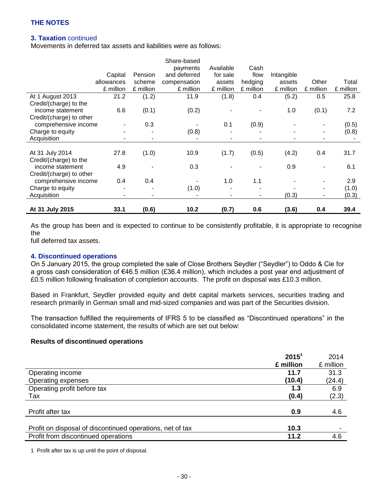## **3. Taxation** continued

Movements in deferred tax assets and liabilities were as follows:

|                          |            |           | Share-based  |           |                |            |                          |           |
|--------------------------|------------|-----------|--------------|-----------|----------------|------------|--------------------------|-----------|
|                          |            |           | payments     | Available | Cash           |            |                          |           |
|                          | Capital    | Pension   | and deferred | for sale  | flow           | Intangible |                          |           |
|                          | allowances | scheme    | compensation | assets    | hedging        | assets     | Other                    | Total     |
|                          | £ million  | £ million | £ million    | £ million | £ million      | £ million  | £ million                | £ million |
| At 1 August 2013         | 21.2       | (1.2)     | 11.9         | (1.8)     | 0.4            | (5.2)      | 0.5                      | 25.8      |
| Credit/(charge) to the   |            |           |              |           |                |            |                          |           |
| income statement         | 6.6        | (0.1)     | (0.2)        |           |                | 1.0        | (0.1)                    | 7.2       |
| Credit/(charge) to other |            |           |              |           |                |            |                          |           |
| comprehensive income     |            | 0.3       |              | 0.1       | (0.9)          |            |                          | (0.5)     |
| Charge to equity         |            |           | (0.8)        |           |                |            | $\blacksquare$           | (0.8)     |
| Acquisition              |            | ۰.        |              |           | ۰              |            | $\blacksquare$           |           |
|                          |            |           |              |           |                |            |                          |           |
| At 31 July 2014          | 27.8       | (1.0)     | 10.9         | (1.7)     | (0.5)          | (4.2)      | 0.4                      | 31.7      |
| Credit/(charge) to the   |            |           |              |           |                |            |                          |           |
| income statement         | 4.9        |           | 0.3          |           |                | 0.9        |                          | 6.1       |
| Credit/(charge) to other |            |           |              |           |                |            |                          |           |
| comprehensive income     | 0.4        | 0.4       |              | 1.0       | 1.1            |            | $\overline{\phantom{a}}$ | 2.9       |
| Charge to equity         |            |           | (1.0)        |           |                |            | $\blacksquare$           | (1.0)     |
| Acquisition              |            |           |              |           | $\blacksquare$ | (0.3)      | $\blacksquare$           | (0.3)     |
|                          |            |           |              |           |                |            |                          |           |
| At 31 July 2015          | 33.1       | (0.6)     | 10.2         | (0.7)     | 0.6            | (3.6)      | 0.4                      | 39.4      |

As the group has been and is expected to continue to be consistently profitable, it is appropriate to recognise the

full deferred tax assets.

#### **4. Discontinued operations**

On 5 January 2015, the group completed the sale of Close Brothers Seydler ("Seydler") to Oddo & Cie for a gross cash consideration of €46.5 million (£36.4 million), which includes a post year end adjustment of £0.5 million following finalisation of completion accounts. The profit on disposal was £10.3 million.

Based in Frankfurt, Seydler provided equity and debt capital markets services, securities trading and research primarily in German small and mid-sized companies and was part of the Securities division.

The transaction fulfilled the requirements of IFRS 5 to be classified as "Discontinued operations" in the consolidated income statement, the results of which are set out below:

#### **Results of discontinued operations**

|                                                           | 2015 <sup>1</sup> | 2014      |
|-----------------------------------------------------------|-------------------|-----------|
|                                                           | £ million         | £ million |
| Operating income                                          | 11.7              | 31.3      |
| Operating expenses                                        | (10.4)            | (24.4)    |
| Operating profit before tax                               | 1.3               | 6.9       |
| Tax                                                       | (0.4)             | (2.3)     |
| Profit after tax                                          | 0.9               | 4.6       |
| Profit on disposal of discontinued operations, net of tax | 10.3              |           |
| Profit from discontinued operations                       | 11.2              | 4.6       |

1 Profit after tax is up until the point of disposal.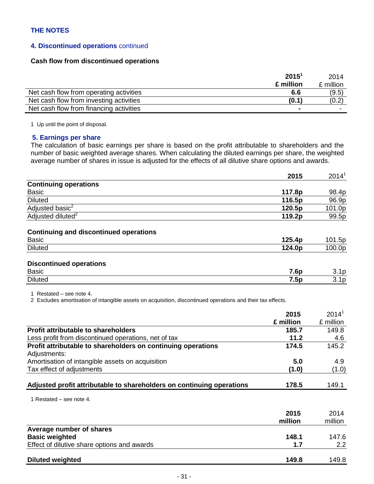### **4. Discontinued operations** continued

## **Cash flow from discontinued operations**

|                                         | $2015^1$  | 2014      |
|-----------------------------------------|-----------|-----------|
|                                         | £ million | £ million |
| Net cash flow from operating activities | 6.6       | (9.5)     |
| Net cash flow from investing activities | (0.1)     | (0.2)     |
| Net cash flow from financing activities |           |           |

1 Up until the point of disposal.

#### **5. Earnings per share**

The calculation of basic earnings per share is based on the profit attributable to shareholders and the number of basic weighted average shares. When calculating the diluted earnings per share, the weighted average number of shares in issue is adjusted for the effects of all dilutive share options and awards.

|                                                               | 2015   | $2014^1$         |
|---------------------------------------------------------------|--------|------------------|
| <b>Continuing operations</b>                                  |        |                  |
| <b>Basic</b>                                                  | 117.8p | 98.4p            |
| <b>Diluted</b>                                                | 116.5p | 96.9p            |
| Adjusted basic <sup>2</sup>                                   | 120.5p | 101.0p           |
| Adjusted diluted <sup>2</sup>                                 | 119.2p | 99.5p            |
| <b>Continuing and discontinued operations</b><br><b>Basic</b> | 125.4p | 101.5p           |
| <b>Diluted</b>                                                | 124.0p | 100.0p           |
| <b>Discontinued operations</b><br><b>Basic</b>                | 7.6p   | 3.1 <sub>p</sub> |
| <b>Diluted</b>                                                | 7.5p   | 3.1 <sub>p</sub> |

1 Restated – see note 4.

2 Excludes amortisation of intangible assets on acquisition, discontinued operations and their tax effects.

|                                                                       | 2015      | 2014 <sup>1</sup> |
|-----------------------------------------------------------------------|-----------|-------------------|
|                                                                       | £ million | £ million         |
| <b>Profit attributable to shareholders</b>                            | 185.7     | 149.8             |
| Less profit from discontinued operations, net of tax                  | 11.2      | 4.6               |
| Profit attributable to shareholders on continuing operations          | 174.5     | 145.2             |
| Adjustments:                                                          |           |                   |
| Amortisation of intangible assets on acquisition                      | 5.0       | 4.9               |
| Tax effect of adjustments                                             | (1.0)     | (1.0)             |
| Adjusted profit attributable to shareholders on continuing operations | 178.5     | 149.1             |

1 Restated – see note 4.

|                                             | 2015<br>million | 2014<br>million |
|---------------------------------------------|-----------------|-----------------|
| Average number of shares                    |                 |                 |
| <b>Basic weighted</b>                       | 148.1           | 147.6           |
| Effect of dilutive share options and awards | 1.7             | $2.2^{\circ}$   |
| <b>Diluted weighted</b>                     | 149.8           | 149.8           |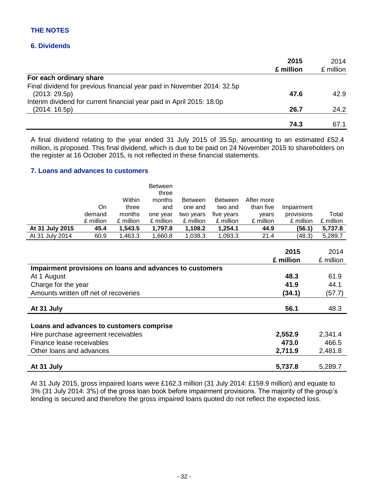## **6. Dividends**

| 2015      | 2014      |
|-----------|-----------|
| £ million | £ million |
|           |           |
|           |           |
|           | 42.9      |
|           |           |
| 26.7      | 24.2      |
| 74.3      | 67.1      |
|           | 47.6      |

A final dividend relating to the year ended 31 July 2015 of 35.5p, amounting to an estimated £52.4 million, is proposed. This final dividend, which is due to be paid on 24 November 2015 to shareholders on the register at 16 October 2015, is not reflected in these financial statements.

#### **7. Loans and advances to customers**

|                 |           |           | Between<br>three |                |                |            |            |           |
|-----------------|-----------|-----------|------------------|----------------|----------------|------------|------------|-----------|
|                 |           | Within    | months           | <b>Between</b> | <b>Between</b> | After more |            |           |
|                 | On        | three     | and              | one and        | two and        | than five  | Impairment |           |
|                 | demand    | months    | one year         | two years      | five years     | vears      | provisions | Total     |
|                 | £ million | £ million | £ million        | £ million      | £ million      | £ million  | £ million  | £ million |
| At 31 July 2015 | 45.4      | 1,543.5   | 1.797.8          | 1,108.2        | 1,254.1        | 44.9       | (56.1)     | 5,737.8   |
| At 31 July 2014 | 60.9      | 1,463.3   | 1,660.8          | 1,038.3        | 1,093.3        | 21.4       | (48.3)     | 5,289.7   |

|                                                          | 2015<br>£ million | 2014<br>£ million |
|----------------------------------------------------------|-------------------|-------------------|
| Impairment provisions on loans and advances to customers |                   |                   |
| At 1 August                                              | 48.3              | 61.9              |
| Charge for the year                                      | 41.9              | 44.1              |
| Amounts written off net of recoveries                    | (34.1)            | (57.7)            |
| At 31 July                                               | 56.1              | 48.3              |
| Loans and advances to customers comprise                 |                   |                   |
| Hire purchase agreement receivables                      | 2,552.9           | 2,341.4           |
| Finance lease receivables                                | 473.0             | 466.5             |
| Other loans and advances                                 | 2,711.9           | 2,481.8           |
| At 31 July                                               | 5,737.8           | 5,289.7           |

At 31 July 2015, gross impaired loans were £162.3 million (31 July 2014: £159.9 million) and equate to 3% (31 July 2014: 3%) of the gross loan book before impairment provisions. The majority of the group's lending is secured and therefore the gross impaired loans quoted do not reflect the expected loss.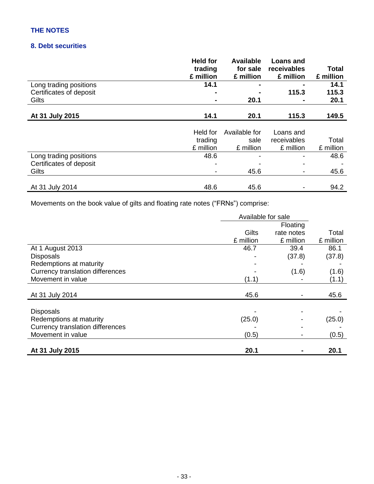# **8. Debt securities**

|                         | <b>Held for</b><br>trading<br>£ million | <b>Available</b><br>for sale<br>£ million | <b>Loans and</b><br>receivables<br>£ million | Total<br>£ million |
|-------------------------|-----------------------------------------|-------------------------------------------|----------------------------------------------|--------------------|
| Long trading positions  | 14.1                                    |                                           |                                              | 14.1               |
| Certificates of deposit |                                         |                                           | 115.3                                        | 115.3              |
| Gilts                   |                                         | 20.1                                      |                                              | 20.1               |
| At 31 July 2015         | 14.1                                    | 20.1                                      | 115.3                                        | 149.5              |
|                         |                                         |                                           |                                              |                    |
|                         | Held for                                | Available for                             | Loans and                                    |                    |
|                         | trading                                 | sale                                      | receivables                                  | Total              |
|                         | £ million                               | £ million                                 | £ million                                    | £ million          |
| Long trading positions  | 48.6                                    |                                           |                                              | 48.6               |
| Certificates of deposit |                                         |                                           |                                              |                    |
| Gilts                   |                                         | 45.6                                      |                                              | 45.6               |
|                         |                                         |                                           |                                              |                    |
| At 31 July 2014         | 48.6                                    | 45.6                                      |                                              | 94.2               |

Movements on the book value of gilts and floating rate notes ("FRNs") comprise:

|                                         | Available for sale |            |           |
|-----------------------------------------|--------------------|------------|-----------|
|                                         |                    | Floating   |           |
|                                         | Gilts              | rate notes | Total     |
|                                         | £ million          | £ million  | £ million |
| At 1 August 2013                        | 46.7               | 39.4       | 86.1      |
| <b>Disposals</b>                        |                    | (37.8)     | (37.8)    |
| Redemptions at maturity                 |                    |            |           |
| <b>Currency translation differences</b> |                    | (1.6)      | (1.6)     |
| Movement in value                       | (1.1)              |            | (1.1)     |
|                                         |                    |            |           |
| At 31 July 2014                         | 45.6               |            | 45.6      |
|                                         |                    |            |           |
| <b>Disposals</b>                        |                    |            |           |
| Redemptions at maturity                 | (25.0)             |            | (25.0)    |
| <b>Currency translation differences</b> |                    |            |           |
| Movement in value                       | (0.5)              |            | (0.5)     |
| At 31 July 2015                         | 20.1               |            | 20.1      |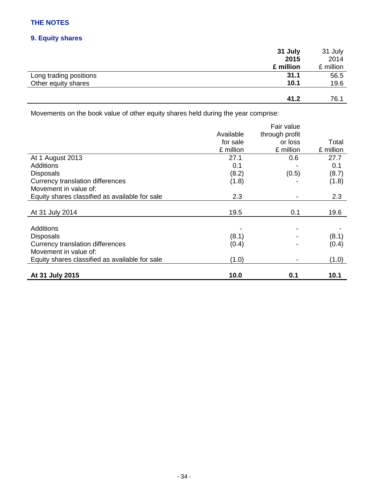# **9. Equity shares**

|                        | 31 July   | 31 July   |
|------------------------|-----------|-----------|
|                        | 2015      | 2014      |
|                        | £ million | £ million |
| Long trading positions | 31.1      | 56.5      |
| Other equity shares    | 10.1      | 19.6      |
|                        |           |           |
|                        | 41.2      | 76.1      |

Movements on the book value of other equity shares held during the year comprise:

|                                                |           | Fair value     |           |
|------------------------------------------------|-----------|----------------|-----------|
|                                                | Available | through profit |           |
|                                                | for sale  | or loss        | Total     |
|                                                | £ million | £ million      | £ million |
| At 1 August 2013                               | 27.1      | 0.6            | 27.7      |
| <b>Additions</b>                               | 0.1       |                | 0.1       |
| <b>Disposals</b>                               | (8.2)     | (0.5)          | (8.7)     |
| <b>Currency translation differences</b>        | (1.8)     |                | (1.8)     |
| Movement in value of:                          |           |                |           |
| Equity shares classified as available for sale | 2.3       |                | 2.3       |
|                                                |           |                |           |
| At 31 July 2014                                | 19.5      | 0.1            | 19.6      |
|                                                |           |                |           |
| Additions                                      |           |                |           |
| <b>Disposals</b>                               | (8.1)     |                | (8.1)     |
| Currency translation differences               | (0.4)     |                | (0.4)     |
| Movement in value of:                          |           |                |           |
| Equity shares classified as available for sale | (1.0)     |                | (1.0)     |
|                                                |           |                |           |
| At 31 July 2015                                | 10.0      | 0.1            | 10.1      |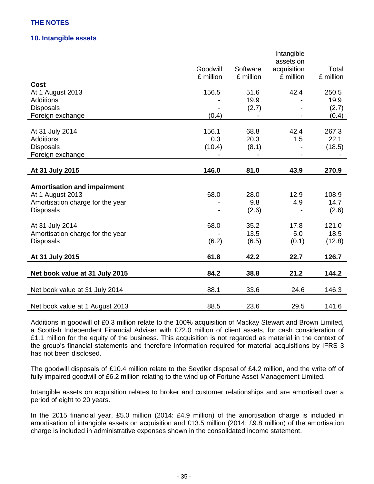## **10. Intangible assets**

|                                    |           |           | Intangible<br>assets on |           |
|------------------------------------|-----------|-----------|-------------------------|-----------|
|                                    | Goodwill  | Software  | acquisition             | Total     |
|                                    | £ million | £ million | £ million               | £ million |
| <b>Cost</b>                        |           |           |                         |           |
| At 1 August 2013                   | 156.5     | 51.6      | 42.4                    | 250.5     |
| Additions                          |           | 19.9      |                         | 19.9      |
| <b>Disposals</b>                   |           | (2.7)     |                         | (2.7)     |
| Foreign exchange                   | (0.4)     |           |                         | (0.4)     |
|                                    |           |           |                         |           |
| At 31 July 2014                    | 156.1     | 68.8      | 42.4                    | 267.3     |
| <b>Additions</b>                   | 0.3       | 20.3      | 1.5                     | 22.1      |
| <b>Disposals</b>                   | (10.4)    | (8.1)     |                         | (18.5)    |
| Foreign exchange                   |           |           |                         |           |
| At 31 July 2015                    | 146.0     | 81.0      | 43.9                    | 270.9     |
|                                    |           |           |                         |           |
| <b>Amortisation and impairment</b> |           |           |                         |           |
| At 1 August 2013                   | 68.0      | 28.0      | 12.9                    | 108.9     |
| Amortisation charge for the year   |           | 9.8       | 4.9                     | 14.7      |
| <b>Disposals</b>                   |           | (2.6)     |                         | (2.6)     |
|                                    |           |           |                         |           |
| At 31 July 2014                    | 68.0      | 35.2      | 17.8                    | 121.0     |
| Amortisation charge for the year   |           | 13.5      | 5.0                     | 18.5      |
| <b>Disposals</b>                   | (6.2)     | (6.5)     | (0.1)                   | (12.8)    |
| At 31 July 2015                    | 61.8      | 42.2      | 22.7                    | 126.7     |
| Net book value at 31 July 2015     | 84.2      | 38.8      | 21.2                    | 144.2     |
| Net book value at 31 July 2014     | 88.1      | 33.6      | 24.6                    | 146.3     |
| Net book value at 1 August 2013    | 88.5      | 23.6      | 29.5                    | 141.6     |

Additions in goodwill of £0.3 million relate to the 100% acquisition of Mackay Stewart and Brown Limited, a Scottish Independent Financial Adviser with £72.0 million of client assets, for cash consideration of £1.1 million for the equity of the business. This acquisition is not regarded as material in the context of the group's financial statements and therefore information required for material acquisitions by IFRS 3 has not been disclosed.

The goodwill disposals of £10.4 million relate to the Seydler disposal of £4.2 million, and the write off of fully impaired goodwill of £6.2 million relating to the wind up of Fortune Asset Management Limited.

Intangible assets on acquisition relates to broker and customer relationships and are amortised over a period of eight to 20 years.

In the 2015 financial year, £5.0 million (2014: £4.9 million) of the amortisation charge is included in amortisation of intangible assets on acquisition and £13.5 million (2014: £9.8 million) of the amortisation charge is included in administrative expenses shown in the consolidated income statement.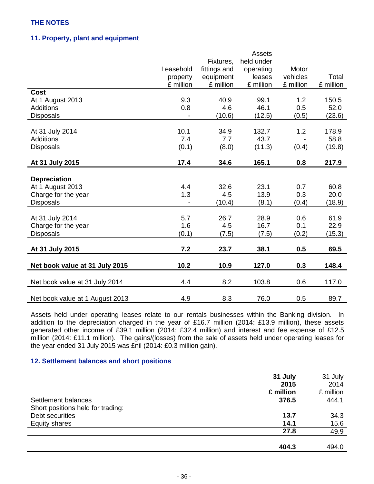## **11. Property, plant and equipment**

|                                 |           |              | Assets     |           |           |
|---------------------------------|-----------|--------------|------------|-----------|-----------|
|                                 |           | Fixtures,    | held under |           |           |
|                                 | Leasehold | fittings and | operating  | Motor     |           |
|                                 | property  | equipment    | leases     | vehicles  | Total     |
|                                 | £ million | £ million    | £ million  | £ million | £ million |
| Cost                            |           |              |            |           |           |
| At 1 August 2013                | 9.3       | 40.9         | 99.1       | 1.2       | 150.5     |
| <b>Additions</b>                | 0.8       | 4.6          | 46.1       | 0.5       | 52.0      |
| <b>Disposals</b>                |           | (10.6)       | (12.5)     | (0.5)     | (23.6)    |
|                                 |           |              |            |           |           |
| At 31 July 2014                 | 10.1      | 34.9         | 132.7      | 1.2       | 178.9     |
| Additions                       | 7.4       | 7.7          | 43.7       |           | 58.8      |
| <b>Disposals</b>                | (0.1)     | (8.0)        | (11.3)     | (0.4)     | (19.8)    |
|                                 |           |              |            |           |           |
| At 31 July 2015                 | 17.4      | 34.6         | 165.1      | 0.8       | 217.9     |
|                                 |           |              |            |           |           |
| <b>Depreciation</b>             |           |              |            |           |           |
| At 1 August 2013                | 4.4       | 32.6         | 23.1       | 0.7       | 60.8      |
| Charge for the year             | 1.3       | 4.5          | 13.9       | 0.3       | 20.0      |
| <b>Disposals</b>                |           | (10.4)       | (8.1)      | (0.4)     | (18.9)    |
|                                 |           |              |            |           |           |
| At 31 July 2014                 | 5.7       | 26.7         | 28.9       | 0.6       | 61.9      |
| Charge for the year             | 1.6       | 4.5          | 16.7       | 0.1       | 22.9      |
| <b>Disposals</b>                | (0.1)     | (7.5)        | (7.5)      | (0.2)     | (15.3)    |
|                                 |           |              |            |           |           |
| At 31 July 2015                 | 7.2       | 23.7         | 38.1       | 0.5       | 69.5      |
| Net book value at 31 July 2015  | 10.2      | 10.9         | 127.0      | 0.3       | 148.4     |
| Net book value at 31 July 2014  | 4.4       | 8.2          | 103.8      | 0.6       | 117.0     |
| Net book value at 1 August 2013 | 4.9       | 8.3          | 76.0       | 0.5       | 89.7      |

Assets held under operating leases relate to our rentals businesses within the Banking division. In addition to the depreciation charged in the year of £16.7 million (2014: £13.9 million), these assets generated other income of £39.1 million (2014: £32.4 million) and interest and fee expense of £12.5 million (2014: £11.1 million). The gains/(losses) from the sale of assets held under operating leases for the year ended 31 July 2015 was £nil (2014: £0.3 million gain).

## **12. Settlement balances and short positions**

|                                   | 31 July   | 31 July   |
|-----------------------------------|-----------|-----------|
|                                   | 2015      | 2014      |
|                                   | £ million | £ million |
| Settlement balances               | 376.5     | 444.1     |
| Short positions held for trading: |           |           |
| Debt securities                   | 13.7      | 34.3      |
| <b>Equity shares</b>              | 14.1      | 15.6      |
|                                   | 27.8      | 49.9      |
|                                   |           |           |
|                                   | 404.3     | 494.0     |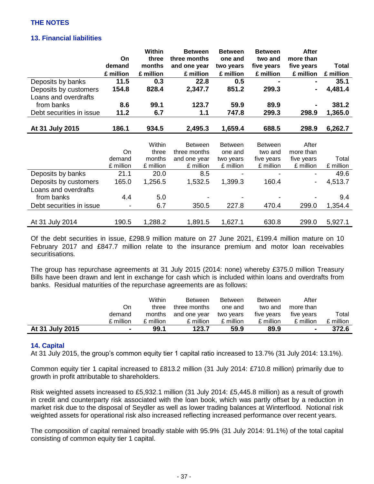## **13. Financial liabilities**

|                          |           | <b>Within</b> | <b>Between</b> | <b>Between</b> | <b>Between</b> | <b>After</b> |              |
|--------------------------|-----------|---------------|----------------|----------------|----------------|--------------|--------------|
|                          | <b>On</b> | three         | three months   | one and        | two and        | more than    |              |
|                          | demand    | months        | and one year   | two years      | five years     | five years   | <b>Total</b> |
|                          | £ million | £ million     | £ million      | £ million      | £ million      | £ million    | £ million    |
| Deposits by banks        | 11.5      | 0.3           | 22.8           | 0.5            |                |              | 35.1         |
| Deposits by customers    | 154.8     | 828.4         | 2,347.7        | 851.2          | 299.3          |              | 4,481.4      |
| Loans and overdrafts     |           |               |                |                |                |              |              |
| from banks               | 8.6       | 99.1          | 123.7          | 59.9           | 89.9           |              | 381.2        |
| Debt securities in issue | 11.2      | 6.7           | 1.1            | 747.8          | 299.3          | 298.9        | 1,365.0      |
|                          |           |               |                |                |                |              |              |
| At 31 July 2015          | 186.1     | 934.5         | 2,495.3        | 1,659.4        | 688.5          | 298.9        | 6,262.7      |
|                          |           |               |                |                |                |              |              |
|                          |           | Within        | <b>Between</b> | <b>Between</b> | <b>Between</b> | After        |              |
|                          | On        | three         | three months   | one and        | two and        | more than    |              |
|                          | demand    | months        | and one year   | two years      | five years     | five years   | Total        |
|                          | £ million | £ million     | £ million      | £ million      | £ million      | £ million    | £ million    |
| Deposits by banks        | 21.1      | 20.0          | 8.5            |                |                |              | 49.6         |
| Deposits by customers    | 165.0     | 1,256.5       | 1,532.5        | 1,399.3        | 160.4          | -            | 4,513.7      |
| Loans and overdrafts     |           |               |                |                |                |              |              |
| from banks               | 4.4       | 5.0           |                |                |                |              | 9.4          |
| Debt securities in issue |           | 6.7           | 350.5          | 227.8          | 470.4          | 299.0        | 1,354.4      |
|                          |           |               |                |                |                |              |              |
| At 31 July 2014          | 190.5     | 1,288.2       | 1,891.5        | 1,627.1        | 630.8          | 299.0        | 5,927.1      |

Of the debt securities in issue, £298.9 million mature on 27 June 2021, £199.4 million mature on 10 February 2017 and £847.7 million relate to the insurance premium and motor loan receivables securitisations.

The group has repurchase agreements at 31 July 2015 (2014: none) whereby £375.0 million Treasury Bills have been drawn and lent in exchange for cash which is included within loans and overdrafts from banks. Residual maturities of the repurchase agreements are as follows:

|                 |           | <b>Within</b> | <b>Between</b> | <b>Between</b> | <b>Between</b> | After      |           |
|-----------------|-----------|---------------|----------------|----------------|----------------|------------|-----------|
|                 | On        | three         | three months   | one and        | two and        | more than  |           |
|                 | demand    | months        | and one year   | two years      | five vears     | five vears | Total     |
|                 | £ million | £ million     | £ million      | £ million      | £ million      | £ million  | £ million |
| At 31 July 2015 |           | 99.1          | 123.7          | 59.9           | 89.9           |            | 372.6     |

## **14. Capital**

At 31 July 2015, the group's common equity tier 1 capital ratio increased to 13.7% (31 July 2014: 13.1%).

Common equity tier 1 capital increased to £813.2 million (31 July 2014: £710.8 million) primarily due to growth in profit attributable to shareholders.

Risk weighted assets increased to £5,932.1 million (31 July 2014: £5,445.8 million) as a result of growth in credit and counterparty risk associated with the loan book, which was partly offset by a reduction in market risk due to the disposal of Seydler as well as lower trading balances at Winterflood. Notional risk weighted assets for operational risk also increased reflecting increased performance over recent years.

The composition of capital remained broadly stable with 95.9% (31 July 2014: 91.1%) of the total capital consisting of common equity tier 1 capital.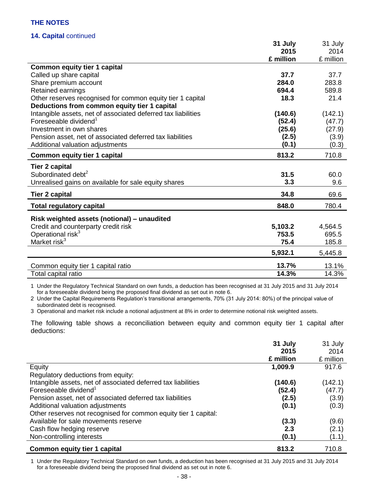## **14. Capital** continued

| 2015<br>2014<br>£ million<br>£ million<br><b>Common equity tier 1 capital</b><br>Called up share capital<br>37.7<br>37.7<br>Share premium account<br>284.0<br>283.8<br>694.4<br>Retained earnings<br>589.8<br>Other reserves recognised for common equity tier 1 capital<br>18.3<br>21.4<br>Deductions from common equity tier 1 capital<br>Intangible assets, net of associated deferred tax liabilities<br>(140.6)<br>(142.1) |
|---------------------------------------------------------------------------------------------------------------------------------------------------------------------------------------------------------------------------------------------------------------------------------------------------------------------------------------------------------------------------------------------------------------------------------|
|                                                                                                                                                                                                                                                                                                                                                                                                                                 |
|                                                                                                                                                                                                                                                                                                                                                                                                                                 |
|                                                                                                                                                                                                                                                                                                                                                                                                                                 |
|                                                                                                                                                                                                                                                                                                                                                                                                                                 |
|                                                                                                                                                                                                                                                                                                                                                                                                                                 |
|                                                                                                                                                                                                                                                                                                                                                                                                                                 |
|                                                                                                                                                                                                                                                                                                                                                                                                                                 |
|                                                                                                                                                                                                                                                                                                                                                                                                                                 |
|                                                                                                                                                                                                                                                                                                                                                                                                                                 |
| Foreseeable dividend <sup>1</sup><br>(52.4)<br>(47.7)                                                                                                                                                                                                                                                                                                                                                                           |
| Investment in own shares<br>(25.6)<br>(27.9)                                                                                                                                                                                                                                                                                                                                                                                    |
| Pension asset, net of associated deferred tax liabilities<br>(2.5)<br>(3.9)                                                                                                                                                                                                                                                                                                                                                     |
| (0.1)<br>Additional valuation adjustments<br>(0.3)                                                                                                                                                                                                                                                                                                                                                                              |
| 813.2<br>710.8<br><b>Common equity tier 1 capital</b>                                                                                                                                                                                                                                                                                                                                                                           |
| <b>Tier 2 capital</b>                                                                                                                                                                                                                                                                                                                                                                                                           |
| Subordinated debt <sup>2</sup><br>31.5<br>60.0                                                                                                                                                                                                                                                                                                                                                                                  |
| 3.3<br>9.6<br>Unrealised gains on available for sale equity shares                                                                                                                                                                                                                                                                                                                                                              |
|                                                                                                                                                                                                                                                                                                                                                                                                                                 |
| 34.8<br>69.6<br><b>Tier 2 capital</b>                                                                                                                                                                                                                                                                                                                                                                                           |
| 848.0<br>780.4<br><b>Total regulatory capital</b>                                                                                                                                                                                                                                                                                                                                                                               |
| Risk weighted assets (notional) - unaudited                                                                                                                                                                                                                                                                                                                                                                                     |
| Credit and counterparty credit risk<br>5,103.2<br>4,564.5                                                                                                                                                                                                                                                                                                                                                                       |
| Operational risk <sup>3</sup><br>753.5<br>695.5                                                                                                                                                                                                                                                                                                                                                                                 |
| Market risk <sup>3</sup><br>75.4<br>185.8                                                                                                                                                                                                                                                                                                                                                                                       |
| 5,932.1<br>5,445.8                                                                                                                                                                                                                                                                                                                                                                                                              |
| 13.7%<br>13.1%<br>Common equity tier 1 capital ratio                                                                                                                                                                                                                                                                                                                                                                            |
| 14.3%<br>14.3%<br>Total capital ratio                                                                                                                                                                                                                                                                                                                                                                                           |

1 Under the Regulatory Technical Standard on own funds, a deduction has been recognised at 31 July 2015 and 31 July 2014 for a foreseeable dividend being the proposed final dividend as set out in note 6.

2 Under the Capital Requirements Regulation's transitional arrangements, 70% (31 July 2014: 80%) of the principal value of subordinated debt is recognised.

3 Operational and market risk include a notional adjustment at 8% in order to determine notional risk weighted assets.

The following table shows a reconciliation between equity and common equity tier 1 capital after deductions:

|                                                                 | 31 July<br>2015 | 31 July<br>2014 |
|-----------------------------------------------------------------|-----------------|-----------------|
|                                                                 | £ million       | £ million       |
| Equity                                                          | 1,009.9         | 917.6           |
| Regulatory deductions from equity:                              |                 |                 |
| Intangible assets, net of associated deferred tax liabilities   | (140.6)         | (142.1)         |
| Foreseeable dividend <sup>1</sup>                               | (52.4)          | (47.7)          |
| Pension asset, net of associated deferred tax liabilities       | (2.5)           | (3.9)           |
| Additional valuation adjustments                                | (0.1)           | (0.3)           |
| Other reserves not recognised for common equity tier 1 capital: |                 |                 |
| Available for sale movements reserve                            | (3.3)           | (9.6)           |
| Cash flow hedging reserve                                       | 2.3             | (2.1)           |
| Non-controlling interests                                       | (0.1)           | (1.1)           |
| <b>Common equity tier 1 capital</b>                             | 813.2           | 710.8           |

1 Under the Regulatory Technical Standard on own funds, a deduction has been recognised at 31 July 2015 and 31 July 2014 for a foreseeable dividend being the proposed final dividend as set out in note 6.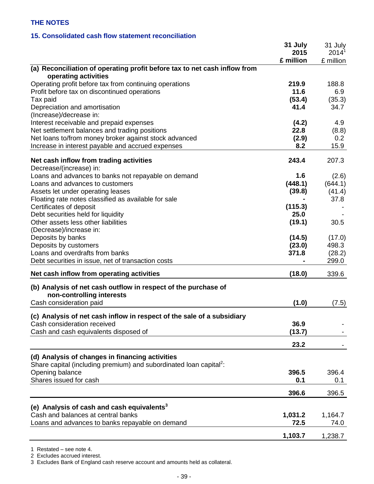# **15. Consolidated cash flow statement reconciliation**

|                                                                                                                                                                                                                                    | 31 July<br>2015                 | 31 July<br>$2014^1$                |
|------------------------------------------------------------------------------------------------------------------------------------------------------------------------------------------------------------------------------------|---------------------------------|------------------------------------|
|                                                                                                                                                                                                                                    | £ million                       | £ million                          |
| (a) Reconciliation of operating profit before tax to net cash inflow from<br>operating activities                                                                                                                                  |                                 |                                    |
| Operating profit before tax from continuing operations<br>Profit before tax on discontinued operations<br>Tax paid<br>Depreciation and amortisation                                                                                | 219.9<br>11.6<br>(53.4)<br>41.4 | 188.8<br>6.9<br>(35.3)<br>34.7     |
| (Increase)/decrease in:<br>Interest receivable and prepaid expenses<br>Net settlement balances and trading positions<br>Net loans to/from money broker against stock advanced<br>Increase in interest payable and accrued expenses | (4.2)<br>22.8<br>(2.9)<br>8.2   | 4.9<br>(8.8)<br>0.2<br>15.9        |
| Net cash inflow from trading activities<br>Decrease/(increase) in:                                                                                                                                                                 | 243.4                           | 207.3                              |
| Loans and advances to banks not repayable on demand<br>Loans and advances to customers<br>Assets let under operating leases<br>Floating rate notes classified as available for sale                                                | 1.6<br>(448.1)<br>(39.8)        | (2.6)<br>(644.1)<br>(41.4)<br>37.8 |
| Certificates of deposit<br>Debt securities held for liquidity<br>Other assets less other liabilities<br>(Decrease)/increase in:                                                                                                    | (115.3)<br>25.0<br>(19.1)       | 30.5                               |
| Deposits by banks<br>Deposits by customers<br>Loans and overdrafts from banks<br>Debt securities in issue, net of transaction costs                                                                                                | (14.5)<br>(23.0)<br>371.8       | (17.0)<br>498.3<br>(28.2)<br>299.0 |
| Net cash inflow from operating activities                                                                                                                                                                                          | (18.0)                          | 339.6                              |
| (b) Analysis of net cash outflow in respect of the purchase of<br>non-controlling interests                                                                                                                                        |                                 |                                    |
| Cash consideration paid                                                                                                                                                                                                            | (1.0)                           | (7.5)                              |
| (c) Analysis of net cash inflow in respect of the sale of a subsidiary<br>Cash consideration received<br>Cash and cash equivalents disposed of                                                                                     | 36.9<br>(13.7)                  |                                    |
|                                                                                                                                                                                                                                    | 23.2                            |                                    |
| (d) Analysis of changes in financing activities<br>Share capital (including premium) and subordinated loan capital <sup>2</sup> :                                                                                                  |                                 |                                    |
| Opening balance<br>Shares issued for cash                                                                                                                                                                                          | 396.5<br>0.1                    | 396.4<br>0.1                       |
|                                                                                                                                                                                                                                    | 396.6                           | 396.5                              |
| (e) Analysis of cash and cash equivalents <sup>3</sup><br>Cash and balances at central banks<br>Loans and advances to banks repayable on demand                                                                                    | 1,031.2<br>72.5                 | 1,164.7<br>74.0                    |
|                                                                                                                                                                                                                                    | 1,103.7                         | 1,238.7                            |

1 Restated – see note 4.

2 Excludes accrued interest.

3 Excludes Bank of England cash reserve account and amounts held as collateral.